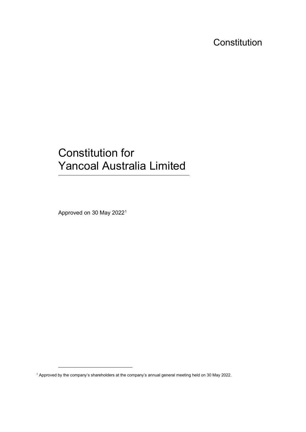**Constitution** 

# Constitution for Yancoal Australia Limited

Approved on 30 May 2022[1](#page-0-0)

<span id="page-0-0"></span><sup>1</sup> Approved by the company's shareholders at the company's annual general meeting held on 30 May 2022.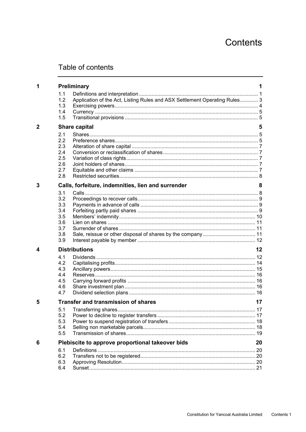# Contents

# Table of contents

| 1              | Preliminary                                            |                                                                            |    |
|----------------|--------------------------------------------------------|----------------------------------------------------------------------------|----|
|                | 1.1                                                    |                                                                            |    |
|                | 1.2                                                    | Application of the Act, Listing Rules and ASX Settlement Operating Rules 3 |    |
|                | 1.3                                                    |                                                                            |    |
|                | 1.4                                                    |                                                                            |    |
|                | 1.5                                                    |                                                                            |    |
|                |                                                        |                                                                            |    |
| $\overline{2}$ |                                                        | <b>Share capital</b>                                                       | 5  |
|                | 2.1                                                    |                                                                            |    |
|                | 2.2                                                    |                                                                            |    |
|                | 2.3                                                    |                                                                            |    |
|                | 2.4                                                    |                                                                            |    |
|                | 2.5                                                    |                                                                            |    |
|                | 2.6                                                    |                                                                            |    |
|                | 2.7                                                    |                                                                            |    |
|                | 2.8                                                    |                                                                            |    |
| 3              |                                                        | Calls, forfeiture, indemnities, lien and surrender                         |    |
|                | 3.1                                                    |                                                                            |    |
|                | 3.2                                                    |                                                                            |    |
|                | 3.3                                                    |                                                                            |    |
|                | 3.4                                                    |                                                                            |    |
|                | 3.5                                                    |                                                                            |    |
|                | 3.6                                                    |                                                                            |    |
|                | 3.7                                                    |                                                                            |    |
|                | 3.8                                                    |                                                                            |    |
|                | 3.9                                                    |                                                                            |    |
| 4              |                                                        | <b>Distributions</b>                                                       |    |
|                | 4.1                                                    |                                                                            |    |
|                | 4.2                                                    |                                                                            |    |
|                | 4.3                                                    |                                                                            |    |
|                | 4.4                                                    |                                                                            |    |
|                | 4.5                                                    |                                                                            |    |
|                | 4.6                                                    |                                                                            |    |
|                | 4.7                                                    |                                                                            |    |
| 5              |                                                        | <b>Transfer and transmission of shares</b><br>17                           |    |
|                |                                                        |                                                                            | 17 |
|                | 5.2                                                    |                                                                            |    |
|                | 5.3                                                    |                                                                            |    |
|                | 5.4                                                    |                                                                            |    |
|                | 5.5                                                    |                                                                            |    |
| 6              | Plebiscite to approve proportional takeover bids<br>20 |                                                                            |    |
|                | 6.1                                                    |                                                                            |    |
|                | 6.2                                                    |                                                                            |    |
|                | 6.3                                                    |                                                                            |    |
|                | 6.4                                                    |                                                                            |    |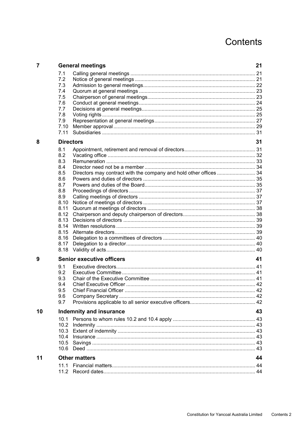# Contents

| 7  |                                                                                                                                     | <b>General meetings</b>                                            | 21 |
|----|-------------------------------------------------------------------------------------------------------------------------------------|--------------------------------------------------------------------|----|
|    | 7.1<br>7.2<br>7.3<br>7.4<br>7.5<br>7.6<br>7.7<br>7.8<br>7.9<br>7.10<br>7.11                                                         |                                                                    |    |
| 8  |                                                                                                                                     | <b>Directors</b>                                                   | 31 |
|    | 8.1<br>8.2<br>8.3<br>8.4<br>8.5<br>8.6<br>8.7<br>8.8<br>8.9<br>8.10<br>8.11<br>8.12<br>8.13<br>8.14<br>8.15<br>8.16<br>8.17<br>8.18 | Directors may contract with the company and hold other offices  34 |    |
| 9  | 9.1<br>9.2<br>9.3<br>9.4<br>9.5<br>9.6<br>9.7                                                                                       | <b>Senior executive officers</b>                                   | 41 |
| 10 | Indemnity and insurance                                                                                                             |                                                                    |    |
|    | 10.1<br>10.2<br>10.3<br>10.4<br>10.5<br>10.6                                                                                        |                                                                    |    |
| 11 | <b>Other matters</b>                                                                                                                |                                                                    |    |
|    | 11.1<br>11.2                                                                                                                        |                                                                    |    |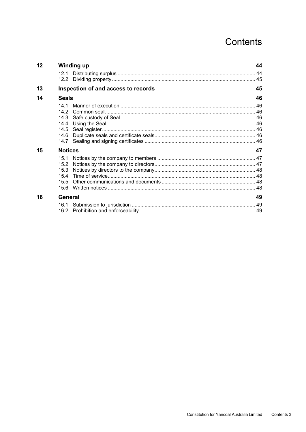# Contents

| 12 | <b>Winding up</b>                    |    |
|----|--------------------------------------|----|
|    |                                      |    |
| 13 | Inspection of and access to records  |    |
| 14 | <b>Seals</b>                         |    |
|    | 14 1<br>14 2<br>14.3<br>14.4<br>14.6 |    |
| 15 | <b>Notices</b>                       | 47 |
|    | 15.2<br>15.3<br>15.4<br>15.5<br>15.6 |    |
| 16 | General                              |    |
|    |                                      |    |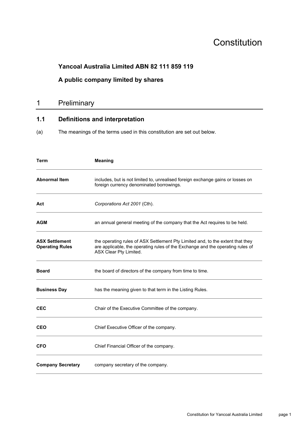# **Constitution**

# **Yancoal Australia Limited ABN 82 111 859 119**

# **A public company limited by shares**

# 1 Preliminary

# **1.1 Definitions and interpretation**

(a) The meanings of the terms used in this constitution are set out below.

| <b>Term</b>                                     | <b>Meaning</b>                                                                                                                                                                             |
|-------------------------------------------------|--------------------------------------------------------------------------------------------------------------------------------------------------------------------------------------------|
| <b>Abnormal Item</b>                            | includes, but is not limited to, unrealised foreign exchange gains or losses on<br>foreign currency denominated borrowings.                                                                |
| Act                                             | Corporations Act 2001 (Cth).                                                                                                                                                               |
| <b>AGM</b>                                      | an annual general meeting of the company that the Act requires to be held.                                                                                                                 |
| <b>ASX Settlement</b><br><b>Operating Rules</b> | the operating rules of ASX Settlement Pty Limited and, to the extent that they<br>are applicable, the operating rules of the Exchange and the operating rules of<br>ASX Clear Pty Limited. |
| <b>Board</b>                                    | the board of directors of the company from time to time.                                                                                                                                   |
| <b>Business Day</b>                             | has the meaning given to that term in the Listing Rules.                                                                                                                                   |
| <b>CEC</b>                                      | Chair of the Executive Committee of the company.                                                                                                                                           |
| <b>CEO</b>                                      | Chief Executive Officer of the company.                                                                                                                                                    |
| <b>CFO</b>                                      | Chief Financial Officer of the company.                                                                                                                                                    |
| <b>Company Secretary</b>                        | company secretary of the company.                                                                                                                                                          |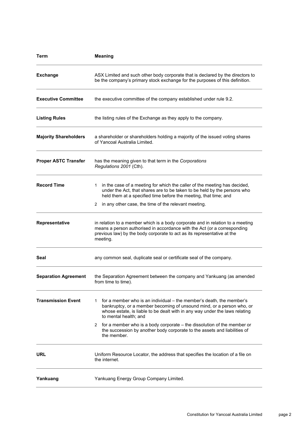| <b>Term</b>                  | <b>Meaning</b>                                                                                                                                                                                                                                              |  |  |  |
|------------------------------|-------------------------------------------------------------------------------------------------------------------------------------------------------------------------------------------------------------------------------------------------------------|--|--|--|
| <b>Exchange</b>              | ASX Limited and such other body corporate that is declared by the directors to<br>be the company's primary stock exchange for the purposes of this definition.                                                                                              |  |  |  |
| <b>Executive Committee</b>   | the executive committee of the company established under rule 9.2.                                                                                                                                                                                          |  |  |  |
| <b>Listing Rules</b>         | the listing rules of the Exchange as they apply to the company.                                                                                                                                                                                             |  |  |  |
| <b>Majority Shareholders</b> | a shareholder or shareholders holding a majority of the issued voting shares<br>of Yancoal Australia Limited.                                                                                                                                               |  |  |  |
| <b>Proper ASTC Transfer</b>  | has the meaning given to that term in the Corporations<br>Regulations 2001 (Cth).                                                                                                                                                                           |  |  |  |
| <b>Record Time</b>           | in the case of a meeting for which the caller of the meeting has decided,<br>1.<br>under the Act, that shares are to be taken to be held by the persons who<br>held them at a specified time before the meeting, that time; and                             |  |  |  |
|                              | 2 in any other case, the time of the relevant meeting.                                                                                                                                                                                                      |  |  |  |
| <b>Representative</b>        | in relation to a member which is a body corporate and in relation to a meeting<br>means a person authorised in accordance with the Act (or a corresponding<br>previous law) by the body corporate to act as its representative at the<br>meeting.           |  |  |  |
| Seal                         | any common seal, duplicate seal or certificate seal of the company.                                                                                                                                                                                         |  |  |  |
| <b>Separation Agreement</b>  | the Separation Agreement between the company and Yankuang (as amended<br>from time to time).                                                                                                                                                                |  |  |  |
| <b>Transmission Event</b>    | for a member who is an individual – the member's death, the member's<br>1.<br>bankruptcy, or a member becoming of unsound mind, or a person who, or<br>whose estate, is liable to be dealt with in any way under the laws relating<br>to mental health: and |  |  |  |
|                              | 2 for a member who is a body corporate – the dissolution of the member or<br>the succession by another body corporate to the assets and liabilities of<br>the member.                                                                                       |  |  |  |
| URL                          | Uniform Resource Locator, the address that specifies the location of a file on<br>the internet.                                                                                                                                                             |  |  |  |
| Yankuang                     | Yankuang Energy Group Company Limited.                                                                                                                                                                                                                      |  |  |  |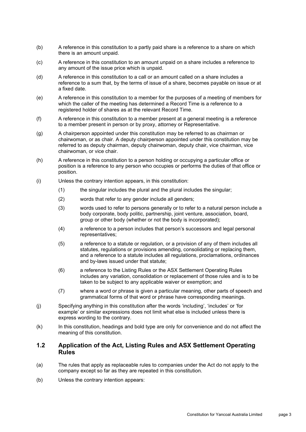- (b) A reference in this constitution to a partly paid share is a reference to a share on which there is an amount unpaid.
- (c) A reference in this constitution to an amount unpaid on a share includes a reference to any amount of the issue price which is unpaid.
- (d) A reference in this constitution to a call or an amount called on a share includes a reference to a sum that, by the terms of issue of a share, becomes payable on issue or at a fixed date.
- (e) A reference in this constitution to a member for the purposes of a meeting of members for which the caller of the meeting has determined a Record Time is a reference to a registered holder of shares as at the relevant Record Time.
- (f) A reference in this constitution to a member present at a general meeting is a reference to a member present in person or by proxy, attorney or Representative.
- (g) A chairperson appointed under this constitution may be referred to as chairman or chairwoman, or as chair. A deputy chairperson appointed under this constitution may be referred to as deputy chairman, deputy chairwoman, deputy chair, vice chairman, vice chairwoman, or vice chair.
- (h) A reference in this constitution to a person holding or occupying a particular office or position is a reference to any person who occupies or performs the duties of that office or position.
- (i) Unless the contrary intention appears, in this constitution:
	- (1) the singular includes the plural and the plural includes the singular;
	- (2) words that refer to any gender include all genders;
	- (3) words used to refer to persons generally or to refer to a natural person include a body corporate, body politic, partnership, joint venture, association, board, group or other body (whether or not the body is incorporated);
	- (4) a reference to a person includes that person's successors and legal personal representatives;
	- (5) a reference to a statute or regulation, or a provision of any of them includes all statutes, regulations or provisions amending, consolidating or replacing them, and a reference to a statute includes all regulations, proclamations, ordinances and by-laws issued under that statute;
	- (6) a reference to the Listing Rules or the ASX Settlement Operating Rules includes any variation, consolidation or replacement of those rules and is to be taken to be subject to any applicable waiver or exemption; and
	- (7) where a word or phrase is given a particular meaning, other parts of speech and grammatical forms of that word or phrase have corresponding meanings.
- (j) Specifying anything in this constitution after the words 'including', 'includes' or 'for example' or similar expressions does not limit what else is included unless there is express wording to the contrary.
- (k) In this constitution, headings and bold type are only for convenience and do not affect the meaning of this constitution.

## **1.2 Application of the Act, Listing Rules and ASX Settlement Operating Rules**

- (a) The rules that apply as replaceable rules to companies under the Act do not apply to the company except so far as they are repeated in this constitution.
- (b) Unless the contrary intention appears: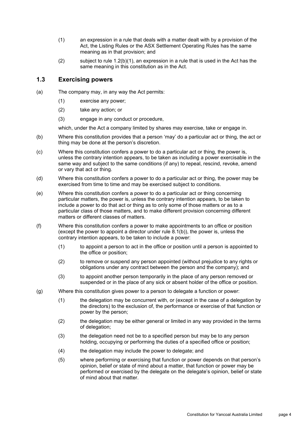- <span id="page-7-0"></span>(1) an expression in a rule that deals with a matter dealt with by a provision of the Act, the Listing Rules or the ASX Settlement Operating Rules has the same meaning as in that provision; and
- (2) subject to rule [1.2\(b\)\(1\),](#page-7-0) an expression in a rule that is used in the Act has the same meaning in this constitution as in the Act.

#### **1.3 Exercising powers**

- (a) The company may, in any way the Act permits:
	- (1) exercise any power;
	- (2) take any action; or
	- (3) engage in any conduct or procedure,

which, under the Act a company limited by shares may exercise, take or engage in.

- (b) Where this constitution provides that a person 'may' do a particular act or thing, the act or thing may be done at the person's discretion.
- (c) Where this constitution confers a power to do a particular act or thing, the power is, unless the contrary intention appears, to be taken as including a power exercisable in the same way and subject to the same conditions (if any) to repeal, rescind, revoke, amend or vary that act or thing.
- (d) Where this constitution confers a power to do a particular act or thing, the power may be exercised from time to time and may be exercised subject to conditions.
- (e) Where this constitution confers a power to do a particular act or thing concerning particular matters, the power is, unless the contrary intention appears, to be taken to include a power to do that act or thing as to only some of those matters or as to a particular class of those matters, and to make different provision concerning different matters or different classes of matters.
- (f) Where this constitution confers a power to make appointments to an office or position (except the power to appoint a director under rule [8.1\(b\)\)](#page-34-0), the power is, unless the contrary intention appears, to be taken to include a power:
	- (1) to appoint a person to act in the office or position until a person is appointed to the office or position;
	- (2) to remove or suspend any person appointed (without prejudice to any rights or obligations under any contract between the person and the company); and
	- (3) to appoint another person temporarily in the place of any person removed or suspended or in the place of any sick or absent holder of the office or position.
- (g) Where this constitution gives power to a person to delegate a function or power:
	- (1) the delegation may be concurrent with, or (except in the case of a delegation by the directors) to the exclusion of, the performance or exercise of that function or power by the person;
	- (2) the delegation may be either general or limited in any way provided in the terms of delegation;
	- (3) the delegation need not be to a specified person but may be to any person holding, occupying or performing the duties of a specified office or position;
	- (4) the delegation may include the power to delegate; and
	- (5) where performing or exercising that function or power depends on that person's opinion, belief or state of mind about a matter, that function or power may be performed or exercised by the delegate on the delegate's opinion, belief or state of mind about that matter.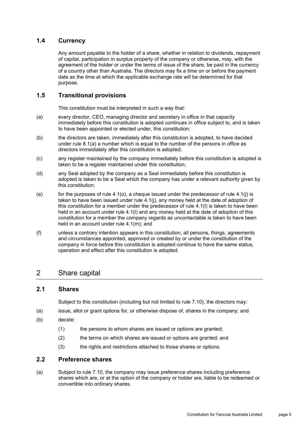## **1.4 Currency**

Any amount payable to the holder of a share, whether in relation to dividends, repayment of capital, participation in surplus property of the company or otherwise, may, with the agreement of the holder or under the terms of issue of the share, be paid in the currency of a country other than Australia. The directors may fix a time on or before the payment date as the time at which the applicable exchange rate will be determined for that purpose.

# **1.5 Transitional provisions**

This constitution must be interpreted in such a way that:

- (a) every director, CEO, managing director and secretary in office in that capacity immediately before this constitution is adopted continues in office subject to, and is taken to have been appointed or elected under, this constitution;
- (b) the directors are taken, immediately after this constitution is adopted, to have decided under rule [8.1\(a\)](#page-34-1) a number which is equal to the number of the persons in office as directors immediately after this constitution is adopted;
- (c) any register maintained by the company immediately before this constitution is adopted is taken to be a register maintained under this constitution;
- (d) any Seal adopted by the company as a Seal immediately before this constitution is adopted is taken to be a Seal which the company has under a relevant authority given by this constitution;
- $(e)$  for the purposes of rule [4.1\(o\),](#page-17-0) a cheque issued under the predecessor of rule 4.1(i) is taken to have been issued under rule [4.1\(j\),](#page-16-0) any money held at the date of adoption of this constitution for a member under the predecessor of rule [4.1\(l\)](#page-17-1) is taken to have been held in an account under rule [4.1\(l\)](#page-17-1) and any money held at the date of adoption of this constitution for a member the company regards as uncontactable is taken to have been held in an account under rule [4.1\(m\);](#page-17-2) and
- (f) unless a contrary intention appears in this constitution, all persons, things, agreements and circumstances appointed, approved or created by or under the constitution of the company in force before this constitution is adopted continue to have the same status, operation and effect after this constitution is adopted.

# 2 Share capital

#### **2.1 Shares**

Subject to this constitution (including but not limited to rule [7.10\)](#page-32-0), the directors may:

- (a) issue, allot or grant options for, or otherwise dispose of, shares in the company; and
- (b) decide:
	- (1) the persons to whom shares are issued or options are granted;
	- (2) the terms on which shares are issued or options are granted; and
	- (3) the rights and restrictions attached to those shares or options.

#### **2.2 Preference shares**

(a) Subject to rule [7.10,](#page-32-0) the company may issue preference shares including preference shares which are, or at the option of the company or holder are, liable to be redeemed or convertible into ordinary shares.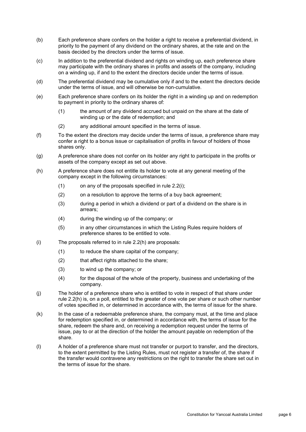- (b) Each preference share confers on the holder a right to receive a preferential dividend, in priority to the payment of any dividend on the ordinary shares, at the rate and on the basis decided by the directors under the terms of issue.
- (c) In addition to the preferential dividend and rights on winding up, each preference share may participate with the ordinary shares in profits and assets of the company, including on a winding up, if and to the extent the directors decide under the terms of issue.
- (d) The preferential dividend may be cumulative only if and to the extent the directors decide under the terms of issue, and will otherwise be non-cumulative.
- (e) Each preference share confers on its holder the right in a winding up and on redemption to payment in priority to the ordinary shares of:
	- (1) the amount of any dividend accrued but unpaid on the share at the date of winding up or the date of redemption; and
	- (2) any additional amount specified in the terms of issue.
- (f) To the extent the directors may decide under the terms of issue, a preference share may confer a right to a bonus issue or capitalisation of profits in favour of holders of those shares only.
- (g) A preference share does not confer on its holder any right to participate in the profits or assets of the company except as set out above.
- <span id="page-9-1"></span>(h) A preference share does not entitle its holder to vote at any general meeting of the company except in the following circumstances:
	- (1) on any of the proposals specified in rule [2.2\(i\);](#page-9-0)
	- (2) on a resolution to approve the terms of a buy back agreement;
	- (3) during a period in which a dividend or part of a dividend on the share is in arrears;
	- (4) during the winding up of the company; or
	- (5) in any other circumstances in which the Listing Rules require holders of preference shares to be entitled to vote.
- <span id="page-9-0"></span>(i) The proposals referred to in rule [2.2\(h\)](#page-9-1) are proposals:
	- (1) to reduce the share capital of the company;
	- (2) that affect rights attached to the share;
	- (3) to wind up the company; or
	- (4) for the disposal of the whole of the property, business and undertaking of the company.
- (j) The holder of a preference share who is entitled to vote in respect of that share under rule [2.2\(h\)](#page-9-1) is, on a poll, entitled to the greater of one vote per share or such other number of votes specified in, or determined in accordance with, the terms of issue for the share.
- (k) In the case of a redeemable preference share, the company must, at the time and place for redemption specified in, or determined in accordance with, the terms of issue for the share, redeem the share and, on receiving a redemption request under the terms of issue, pay to or at the direction of the holder the amount payable on redemption of the share.
- (l) A holder of a preference share must not transfer or purport to transfer, and the directors, to the extent permitted by the Listing Rules, must not register a transfer of, the share if the transfer would contravene any restrictions on the right to transfer the share set out in the terms of issue for the share.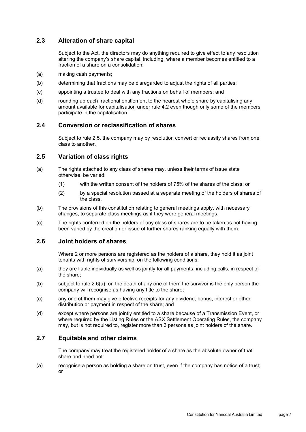# **2.3 Alteration of share capital**

Subject to the Act, the directors may do anything required to give effect to any resolution altering the company's share capital, including, where a member becomes entitled to a fraction of a share on a consolidation:

- (a) making cash payments;
- (b) determining that fractions may be disregarded to adjust the rights of all parties;
- (c) appointing a trustee to deal with any fractions on behalf of members; and
- (d) rounding up each fractional entitlement to the nearest whole share by capitalising any amount available for capitalisation under rule [4.2](#page-17-3) even though only some of the members participate in the capitalisation.

#### **2.4 Conversion or reclassification of shares**

Subject to rule [2.5,](#page-10-0) the company may by resolution convert or reclassify shares from one class to another.

#### <span id="page-10-0"></span>**2.5 Variation of class rights**

- (a) The rights attached to any class of shares may, unless their terms of issue state otherwise, be varied:
	- (1) with the written consent of the holders of 75% of the shares of the class; or
	- (2) by a special resolution passed at a separate meeting of the holders of shares of the class.
- (b) The provisions of this constitution relating to general meetings apply, with necessary changes, to separate class meetings as if they were general meetings.
- (c) The rights conferred on the holders of any class of shares are to be taken as not having been varied by the creation or issue of further shares ranking equally with them.

#### <span id="page-10-2"></span>**2.6 Joint holders of shares**

Where 2 or more persons are registered as the holders of a share, they hold it as joint tenants with rights of survivorship, on the following conditions:

- <span id="page-10-1"></span>(a) they are liable individually as well as jointly for all payments, including calls, in respect of the share;
- (b) subject to rule [2.6\(a\),](#page-10-1) on the death of any one of them the survivor is the only person the company will recognise as having any title to the share;
- (c) any one of them may give effective receipts for any dividend, bonus, interest or other distribution or payment in respect of the share; and
- (d) except where persons are jointly entitled to a share because of a Transmission Event, or where required by the Listing Rules or the ASX Settlement Operating Rules, the company may, but is not required to, register more than 3 persons as joint holders of the share.

### **2.7 Equitable and other claims**

The company may treat the registered holder of a share as the absolute owner of that share and need not:

(a) recognise a person as holding a share on trust, even if the company has notice of a trust; or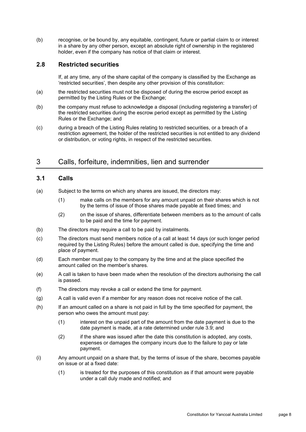(b) recognise, or be bound by, any equitable, contingent, future or partial claim to or interest in a share by any other person, except an absolute right of ownership in the registered holder, even if the company has notice of that claim or interest.

#### **2.8 Restricted securities**

If, at any time, any of the share capital of the company is classified by the Exchange as 'restricted securities', then despite any other provision of this constitution:

- (a) the restricted securities must not be disposed of during the escrow period except as permitted by the Listing Rules or the Exchange;
- (b) the company must refuse to acknowledge a disposal (including registering a transfer) of the restricted securities during the escrow period except as permitted by the Listing Rules or the Exchange; and
- (c) during a breach of the Listing Rules relating to restricted securities, or a breach of a restriction agreement, the holder of the restricted securities is not entitled to any dividend or distribution, or voting rights, in respect of the restricted securities.

# 3 Calls, forfeiture, indemnities, lien and surrender

# <span id="page-11-0"></span>**3.1 Calls**

- (a) Subject to the terms on which any shares are issued, the directors may:
	- (1) make calls on the members for any amount unpaid on their shares which is not by the terms of issue of those shares made payable at fixed times; and
	- (2) on the issue of shares, differentiate between members as to the amount of calls to be paid and the time for payment.
- (b) The directors may require a call to be paid by instalments.
- (c) The directors must send members notice of a call at least 14 days (or such longer period required by the Listing Rules) before the amount called is due, specifying the time and place of payment.
- (d) Each member must pay to the company by the time and at the place specified the amount called on the member's shares.
- (e) A call is taken to have been made when the resolution of the directors authorising the call is passed.
- (f) The directors may revoke a call or extend the time for payment.
- (g) A call is valid even if a member for any reason does not receive notice of the call.
- <span id="page-11-1"></span>(h) If an amount called on a share is not paid in full by the time specified for payment, the person who owes the amount must pay:
	- (1) interest on the unpaid part of the amount from the date payment is due to the date payment is made, at a rate determined under rule [3.9;](#page-15-0) and
	- (2) if the share was issued after the date this constitution is adopted, any costs, expenses or damages the company incurs due to the failure to pay or late payment.
- (i) Any amount unpaid on a share that, by the terms of issue of the share, becomes payable on issue or at a fixed date:
	- (1) is treated for the purposes of this constitution as if that amount were payable under a call duly made and notified; and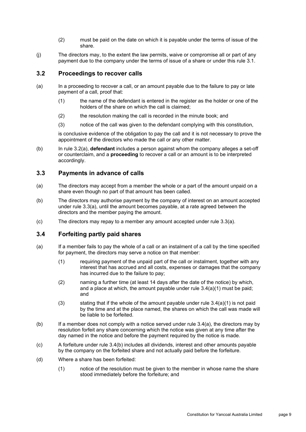- (2) must be paid on the date on which it is payable under the terms of issue of the share.
- (j) The directors may, to the extent the law permits, waive or compromise all or part of any payment due to the company under the terms of issue of a share or under this rule [3.1.](#page-11-0)

### **3.2 Proceedings to recover calls**

- <span id="page-12-0"></span>(a) In a proceeding to recover a call, or an amount payable due to the failure to pay or late payment of a call, proof that:
	- (1) the name of the defendant is entered in the register as the holder or one of the holders of the share on which the call is claimed;
	- (2) the resolution making the call is recorded in the minute book; and
	- (3) notice of the call was given to the defendant complying with this constitution,

is conclusive evidence of the obligation to pay the call and it is not necessary to prove the appointment of the directors who made the call or any other matter.

(b) In rule [3.2\(a\),](#page-12-0) **defendant** includes a person against whom the company alleges a set-off or counterclaim, and a **proceeding** to recover a call or an amount is to be interpreted accordingly.

## **3.3 Payments in advance of calls**

- <span id="page-12-1"></span>(a) The directors may accept from a member the whole or a part of the amount unpaid on a share even though no part of that amount has been called.
- (b) The directors may authorise payment by the company of interest on an amount accepted under rule [3.3\(a\),](#page-12-1) until the amount becomes payable, at a rate agreed between the directors and the member paying the amount.
- (c) The directors may repay to a member any amount accepted under rule [3.3\(a\).](#page-12-1)

#### <span id="page-12-6"></span>**3.4 Forfeiting partly paid shares**

- <span id="page-12-3"></span><span id="page-12-2"></span>(a) If a member fails to pay the whole of a call or an instalment of a call by the time specified for payment, the directors may serve a notice on that member:
	- (1) requiring payment of the unpaid part of the call or instalment, together with any interest that has accrued and all costs, expenses or damages that the company has incurred due to the failure to pay;
	- (2) naming a further time (at least 14 days after the date of the notice) by which, and a place at which, the amount payable under rule [3.4\(a\)\(1\)](#page-12-2) must be paid; and
	- (3) stating that if the whole of the amount payable under rule  $3.4(a)(1)$  is not paid by the time and at the place named, the shares on which the call was made will be liable to be forfeited.
- <span id="page-12-4"></span>(b) If a member does not comply with a notice served under rule [3.4\(a\),](#page-12-3) the directors may by resolution forfeit any share concerning which the notice was given at any time after the day named in the notice and before the payment required by the notice is made.
- (c) A forfeiture under rule [3.4\(b\)](#page-12-4) includes all dividends, interest and other amounts payable by the company on the forfeited share and not actually paid before the forfeiture.
- <span id="page-12-5"></span>(d) Where a share has been forfeited:
	- (1) notice of the resolution must be given to the member in whose name the share stood immediately before the forfeiture; and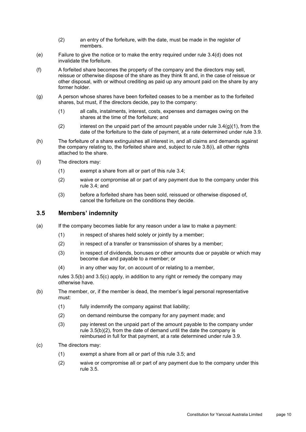- (2) an entry of the forfeiture, with the date, must be made in the register of members.
- (e) Failure to give the notice or to make the entry required under rule [3.4\(d\)](#page-12-5) does not invalidate the forfeiture.
- <span id="page-13-5"></span>(f) A forfeited share becomes the property of the company and the directors may sell, reissue or otherwise dispose of the share as they think fit and, in the case of reissue or other disposal, with or without crediting as paid up any amount paid on the share by any former holder.
- <span id="page-13-0"></span>(g) A person whose shares have been forfeited ceases to be a member as to the forfeited shares, but must, if the directors decide, pay to the company:
	- (1) all calls, instalments, interest, costs, expenses and damages owing on the shares at the time of the forfeiture; and
	- (2) interest on the unpaid part of the amount payable under rule  $3.4(g)(1)$ , from the date of the forfeiture to the date of payment, at a rate determined under rule [3.9.](#page-15-0)
- <span id="page-13-7"></span><span id="page-13-6"></span>(h) The forfeiture of a share extinguishes all interest in, and all claims and demands against the company relating to, the forfeited share and, subject to rule [3.8\(i\),](#page-15-1) all other rights attached to the share.
- (i) The directors may:
	- (1) exempt a share from all or part of this rule [3.4;](#page-12-6)
	- (2) waive or compromise all or part of any payment due to the company under this rule [3.4;](#page-12-6) and
	- (3) before a forfeited share has been sold, reissued or otherwise disposed of, cancel the forfeiture on the conditions they decide.

#### <span id="page-13-4"></span>**3.5 Members' indemnity**

- (a) If the company becomes liable for any reason under a law to make a payment:
	- (1) in respect of shares held solely or jointly by a member;
	- (2) in respect of a transfer or transmission of shares by a member;
	- (3) in respect of dividends, bonuses or other amounts due or payable or which may become due and payable to a member; or
	- (4) in any other way for, on account of or relating to a member,

rules [3.5\(b\)](#page-13-1) and [3.5\(c\)](#page-13-2) apply, in addition to any right or remedy the company may otherwise have.

- <span id="page-13-3"></span><span id="page-13-1"></span>(b) The member, or, if the member is dead, the member's legal personal representative must:
	- (1) fully indemnify the company against that liability;
	- (2) on demand reimburse the company for any payment made; and
	- (3) pay interest on the unpaid part of the amount payable to the company under rule [3.5\(b\)\(2\),](#page-13-3) from the date of demand until the date the company is reimbursed in full for that payment, at a rate determined under rule [3.9.](#page-15-0)
- <span id="page-13-8"></span><span id="page-13-2"></span>(c) The directors may:
	- (1) exempt a share from all or part of this rule [3.5;](#page-13-4) and
	- (2) waive or compromise all or part of any payment due to the company under this rule [3.5.](#page-13-4)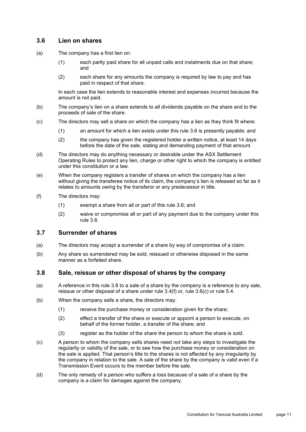### <span id="page-14-0"></span>**3.6 Lien on shares**

- (a) The company has a first lien on:
	- (1) each partly paid share for all unpaid calls and instalments due on that share; and
	- (2) each share for any amounts the company is required by law to pay and has paid in respect of that share.

In each case the lien extends to reasonable interest and expenses incurred because the amount is not paid.

- (b) The company's lien on a share extends to all dividends payable on the share and to the proceeds of sale of the share.
- <span id="page-14-2"></span>(c) The directors may sell a share on which the company has a lien as they think fit where:
	- (1) an amount for which a lien exists under this rule [3.6](#page-14-0) is presently payable; and
	- (2) the company has given the registered holder a written notice, at least 14 days before the date of the sale, stating and demanding payment of that amount.
- (d) The directors may do anything necessary or desirable under the ASX Settlement Operating Rules to protect any lien, charge or other right to which the company is entitled under this constitution or a law.
- (e) When the company registers a transfer of shares on which the company has a lien without giving the transferee notice of its claim, the company's lien is released so far as it relates to amounts owing by the transferor or any predecessor in title.
- (f) The directors may:
	- (1) exempt a share from all or part of this rule [3.6;](#page-14-0) and
	- (2) waive or compromise all or part of any payment due to the company under this rule [3.6.](#page-14-0)

#### **3.7 Surrender of shares**

- (a) The directors may accept a surrender of a share by way of compromise of a claim.
- (b) Any share so surrendered may be sold, reissued or otherwise disposed in the same manner as a forfeited share.

#### <span id="page-14-1"></span>**3.8 Sale, reissue or other disposal of shares by the company**

- (a) A reference in this rule [3.8](#page-14-1) to a sale of a share by the company is a reference to any sale, reissue or other disposal of a share under rule [3.4\(f\)](#page-13-5) or, rule [3.6\(c\)](#page-14-2) or rule [5.4.](#page-21-0)
- (b) When the company sells a share, the directors may:
	- (1) receive the purchase money or consideration given for the share;
	- (2) effect a transfer of the share or execute or appoint a person to execute, on behalf of the former holder, a transfer of the share; and
	- (3) register as the holder of the share the person to whom the share is sold.
- (c) A person to whom the company sells shares need not take any steps to investigate the regularity or validity of the sale, or to see how the purchase money or consideration on the sale is applied. That person's title to the shares is not affected by any irregularity by the company in relation to the sale. A sale of the share by the company is valid even if a Transmission Event occurs to the member before the sale.
- (d) The only remedy of a person who suffers a loss because of a sale of a share by the company is a claim for damages against the company.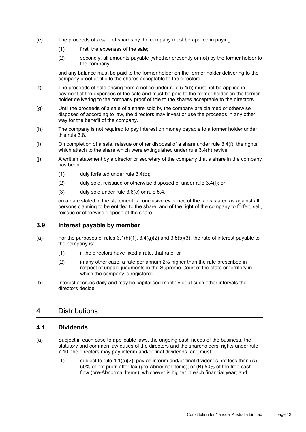- (e) The proceeds of a sale of shares by the company must be applied in paying:
	- (1) first, the expenses of the sale;
	- (2) secondly, all amounts payable (whether presently or not) by the former holder to the company,

and any balance must be paid to the former holder on the former holder delivering to the company proof of title to the shares acceptable to the directors.

- (f) The proceeds of sale arising from a notice under rule [5.4\(b\)](#page-21-1) must not be applied in payment of the expenses of the sale and must be paid to the former holder on the former holder delivering to the company proof of title to the shares acceptable to the directors.
- (g) Until the proceeds of a sale of a share sold by the company are claimed or otherwise disposed of according to law, the directors may invest or use the proceeds in any other way for the benefit of the company.
- (h) The company is not required to pay interest on money payable to a former holder under this rule [3.8.](#page-14-1)
- <span id="page-15-1"></span> $(i)$  On completion of a sale, reissue or other disposal of a share under rule [3.4\(f\),](#page-13-5) the rights which attach to the share which were extinguished under rule [3.4\(h\)](#page-13-6) revive.
- (j) A written statement by a director or secretary of the company that a share in the company has been:
	- (1) duly forfeited under rule [3.4\(b\);](#page-12-4)
	- (2) duly sold, reissued or otherwise disposed of under rule [3.4\(f\);](#page-13-5) or
	- (3) duly sold under rule [3.6\(c\)](#page-14-2) or rule [5.4,](#page-21-0)

on a date stated in the statement is conclusive evidence of the facts stated as against all persons claiming to be entitled to the share, and of the right of the company to forfeit, sell, reissue or otherwise dispose of the share.

#### <span id="page-15-0"></span>**3.9 Interest payable by member**

- (a) For the purposes of rules  $3.1(h)(1)$ ,  $3.4(g)(2)$  and  $3.5(h)(3)$ , the rate of interest payable to the company is:
	- (1) if the directors have fixed a rate, that rate; or
	- (2) in any other case, a rate per annum 2% higher than the rate prescribed in respect of unpaid judgments in the Supreme Court of the state or territory in which the company is registered.
- (b) Interest accrues daily and may be capitalised monthly or at such other intervals the directors decide.

## 4 Distributions

#### <span id="page-15-2"></span>**4.1 Dividends**

- (a) Subject in each case to applicable laws, the ongoing cash needs of the business, the statutory and common law duties of the directors and the shareholders' rights under rule [7.10,](#page-32-0) the directors may pay interim and/or final dividends, and must:
	- (1) subject to rule  $4.1(a)(2)$ , pay as interim and/or final dividends not less than  $(A)$ 50% of net profit after tax (pre-Abnormal Items); or (B) 50% of the free cash flow (pre-Abnormal Items), whichever is higher in each financial year; and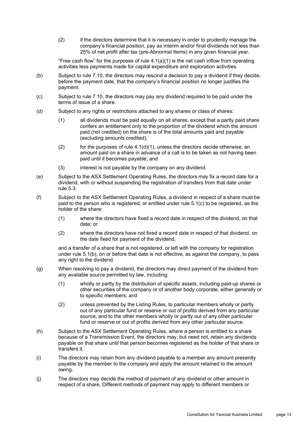<span id="page-16-1"></span>(2) if the directors determine that it is necessary in order to prudently manage the company's financial position, pay as interim and/or final dividends not less than 25% of net profit after tax (pre-Abnormal Items) in any given financial year.

"Free cash flow" for the purposes of rule  $4.1(a)(1)$  is the net cash inflow from operating activities less payments made for capital expenditure and exploration activities.

- (b) Subject to rule [7.10,](#page-32-0) the directors may rescind a decision to pay a dividend if they decide, before the payment date, that the company's financial position no longer justifies the payment.
- (c) Subject to rule [7.10,](#page-32-0) the directors may pay any dividend required to be paid under the terms of issue of a share.
- <span id="page-16-3"></span><span id="page-16-2"></span>(d) Subject to any rights or restrictions attached to any shares or class of shares:
	- (1) all dividends must be paid equally on all shares, except that a partly paid share confers an entitlement only to the proportion of the dividend which the amount paid (not credited) on the share is of the total amounts paid and payable (excluding amounts credited);
	- $(2)$  for the purposes of rule  $4.1(d)(1)$ , unless the directors decide otherwise, an amount paid on a share in advance of a call is to be taken as not having been paid until it becomes payable; and
	- (3) interest is not payable by the company on any dividend.
- <span id="page-16-4"></span>(e) Subject to the ASX Settlement Operating Rules, the directors may fix a record date for a dividend, with or without suspending the registration of transfers from that date under rule [5.3.](#page-21-2)
- <span id="page-16-5"></span>(f) Subject to the ASX Settlement Operating Rules, a dividend in respect of a share must be paid to the person who is registered, or entitled under rule [5.1\(c\)](#page-20-0) to be registered, as the holder of the share:
	- (1) where the directors have fixed a record date in respect of the dividend, on that date; or
	- (2) where the directors have not fixed a record date in respect of that dividend, on the date fixed for payment of the dividend,

and a transfer of a share that is not registered, or left with the company for registration under rule [5.1\(b\),](#page-20-1) on or before that date is not effective, as against the company, to pass any right to the dividend.

- <span id="page-16-6"></span>(g) When resolving to pay a dividend, the directors may direct payment of the dividend from any available source permitted by law, including:
	- (1) wholly or partly by the distribution of specific assets, including paid-up shares or other securities of the company or of another body corporate, either generally or to specific members; and
	- (2) unless prevented by the Listing Rules, to particular members wholly or partly out of any particular fund or reserve or out of profits derived from any particular source, and to the other members wholly or partly out of any other particular fund or reserve or out of profits derived from any other particular source.
- (h) Subject to the ASX Settlement Operating Rules, where a person is entitled to a share because of a Transmission Event, the directors may, but need not, retain any dividends payable on that share until that person becomes registered as the holder of that share or transfers it.
- (i) The directors may retain from any dividend payable to a member any amount presently payable by the member to the company and apply the amount retained to the amount owing.
- <span id="page-16-0"></span>(j) The directors may decide the method of payment of any dividend or other amount in respect of a share. Different methods of payment may apply to different members or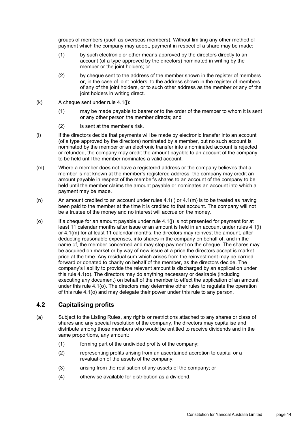groups of members (such as overseas members). Without limiting any other method of payment which the company may adopt, payment in respect of a share may be made:

- (1) by such electronic or other means approved by the directors directly to an account (of a type approved by the directors) nominated in writing by the member or the joint holders; or
- (2) by cheque sent to the address of the member shown in the register of members or, in the case of joint holders, to the address shown in the register of members of any of the joint holders, or to such other address as the member or any of the joint holders in writing direct.
- $(k)$  A cheque sent under rule [4.1\(j\):](#page-16-0)
	- (1) may be made payable to bearer or to the order of the member to whom it is sent or any other person the member directs; and
	- (2) is sent at the member's risk.
- <span id="page-17-1"></span>(l) If the directors decide that payments will be made by electronic transfer into an account (of a type approved by the directors) nominated by a member, but no such account is nominated by the member or an electronic transfer into a nominated account is rejected or refunded, the company may credit the amount payable to an account of the company to be held until the member nominates a valid account.
- <span id="page-17-2"></span>(m) Where a member does not have a registered address or the company believes that a member is not known at the member's registered address, the company may credit an amount payable in respect of the member's shares to an account of the company to be held until the member claims the amount payable or nominates an account into which a payment may be made.
- (n) An amount credited to an account under rules  $4.1(1)$  or  $4.1(m)$  is to be treated as having been paid to the member at the time it is credited to that account. The company will not be a trustee of the money and no interest will accrue on the money.
- <span id="page-17-0"></span>(o) If a cheque for an amount payable under rule [4.1\(j\)](#page-16-0) is not presented for payment for at least 11 calendar months after issue or an amount is held in an account under rules [4.1\(l\)](#page-17-1) or [4.1\(m\)](#page-17-2) for at least 11 calendar months, the directors may reinvest the amount, after deducting reasonable expenses, into shares in the company on behalf of, and in the name of, the member concerned and may stop payment on the cheque. The shares may be acquired on market or by way of new issue at a price the directors accept is market price at the time. Any residual sum which arises from the reinvestment may be carried forward or donated to charity on behalf of the member, as the directors decide. The company's liability to provide the relevant amount is discharged by an application under this rule [4.1\(o\).](#page-17-0) The directors may do anything necessary or desirable (including executing any document) on behalf of the member to effect the application of an amount under this rule [4.1\(o\).](#page-17-0) The directors may determine other rules to regulate the operation of this rule [4.1\(o\)](#page-17-0) and may delegate their power under this rule to any person.

# <span id="page-17-3"></span>**4.2 Capitalising profits**

- (a) Subject to the Listing Rules, any rights or restrictions attached to any shares or class of shares and any special resolution of the company, the directors may capitalise and distribute among those members who would be entitled to receive dividends and in the same proportions, any amount:
	- (1) forming part of the undivided profits of the company;
	- (2) representing profits arising from an ascertained accretion to capital or a revaluation of the assets of the company;
	- (3) arising from the realisation of any assets of the company; or
	- (4) otherwise available for distribution as a dividend.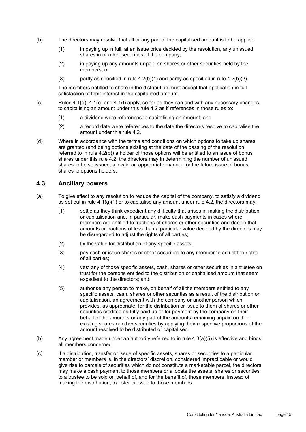- <span id="page-18-2"></span><span id="page-18-1"></span><span id="page-18-0"></span>(b) The directors may resolve that all or any part of the capitalised amount is to be applied:
	- (1) in paying up in full, at an issue price decided by the resolution, any unissued shares in or other securities of the company;
	- (2) in paying up any amounts unpaid on shares or other securities held by the members; or
	- (3) partly as specified in rule  $(4.2(b)(1))$  $(4.2(b)(1))$  $(4.2(b)(1))$  and partly as specified in rule  $(4.2(b)(2))$ .

The members entitled to share in the distribution must accept that application in full satisfaction of their interest in the capitalised amount.

- (c) Rules  $4.1$ (d),  $4.1$ (e) and  $4.1$ (f) apply, so far as they can and with any necessary changes, to capitalising an amount under this rule [4.2](#page-17-3) as if references in those rules to:
	- (1) a dividend were references to capitalising an amount; and
	- (2) a record date were references to the date the directors resolve to capitalise the amount under this rule [4.2.](#page-17-3)
- (d) Where in accordance with the terms and conditions on which options to take up shares are granted (and being options existing at the date of the passing of the resolution referred to in rule [4.2\(b\)\)](#page-18-2) a holder of those options will be entitled to an issue of bonus shares under this rule [4.2,](#page-17-3) the directors may in determining the number of unissued shares to be so issued, allow in an appropriate manner for the future issue of bonus shares to options holders.

#### <span id="page-18-4"></span>**4.3 Ancillary powers**

- (a) To give effect to any resolution to reduce the capital of the company, to satisfy a dividend as set out in rule  $4.1(q)(1)$  or to capitalise any amount under rule  $4.2$ , the directors may:
	- (1) settle as they think expedient any difficulty that arises in making the distribution or capitalisation and, in particular, make cash payments in cases where members are entitled to fractions of shares or other securities and decide that amounts or fractions of less than a particular value decided by the directors may be disregarded to adjust the rights of all parties;
	- (2) fix the value for distribution of any specific assets;
	- (3) pay cash or issue shares or other securities to any member to adjust the rights of all parties;
	- (4) vest any of those specific assets, cash, shares or other securities in a trustee on trust for the persons entitled to the distribution or capitalised amount that seem expedient to the directors; and
	- (5) authorise any person to make, on behalf of all the members entitled to any specific assets, cash, shares or other securities as a result of the distribution or capitalisation, an agreement with the company or another person which provides, as appropriate, for the distribution or issue to them of shares or other securities credited as fully paid up or for payment by the company on their behalf of the amounts or any part of the amounts remaining unpaid on their existing shares or other securities by applying their respective proportions of the amount resolved to be distributed or capitalised.
- <span id="page-18-3"></span>(b) Any agreement made under an authority referred to in rule [4.3\(a\)\(5\)](#page-18-3) is effective and binds all members concerned.
- (c) If a distribution, transfer or issue of specific assets, shares or securities to a particular member or members is, in the directors' discretion, considered impracticable or would give rise to parcels of securities which do not constitute a marketable parcel, the directors may make a cash payment to those members or allocate the assets, shares or securities to a trustee to be sold on behalf of, and for the benefit of, those members, instead of making the distribution, transfer or issue to those members.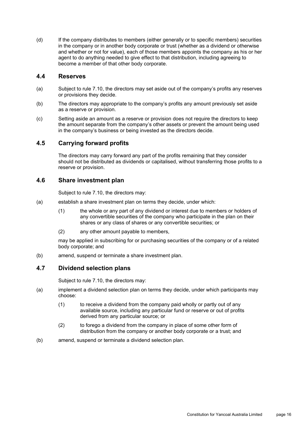(d) If the company distributes to members (either generally or to specific members) securities in the company or in another body corporate or trust (whether as a dividend or otherwise and whether or not for value), each of those members appoints the company as his or her agent to do anything needed to give effect to that distribution, including agreeing to become a member of that other body corporate.

#### **4.4 Reserves**

- (a) Subject to rule [7.10,](#page-32-0) the directors may set aside out of the company's profits any reserves or provisions they decide.
- (b) The directors may appropriate to the company's profits any amount previously set aside as a reserve or provision.
- (c) Setting aside an amount as a reserve or provision does not require the directors to keep the amount separate from the company's other assets or prevent the amount being used in the company's business or being invested as the directors decide.

## **4.5 Carrying forward profits**

The directors may carry forward any part of the profits remaining that they consider should not be distributed as dividends or capitalised, without transferring those profits to a reserve or provision.

#### **4.6 Share investment plan**

Subject to rule [7.10,](#page-32-0) the directors may:

- (a) establish a share investment plan on terms they decide, under which:
	- (1) the whole or any part of any dividend or interest due to members or holders of any convertible securities of the company who participate in the plan on their shares or any class of shares or any convertible securities; or
	- (2) any other amount payable to members,

may be applied in subscribing for or purchasing securities of the company or of a related body corporate; and

(b) amend, suspend or terminate a share investment plan.

#### **4.7 Dividend selection plans**

Subject to rule [7.10,](#page-32-0) the directors may:

- (a) implement a dividend selection plan on terms they decide, under which participants may choose:
	- (1) to receive a dividend from the company paid wholly or partly out of any available source, including any particular fund or reserve or out of profits derived from any particular source; or
	- (2) to forego a dividend from the company in place of some other form of distribution from the company or another body corporate or a trust; and
- (b) amend, suspend or terminate a dividend selection plan.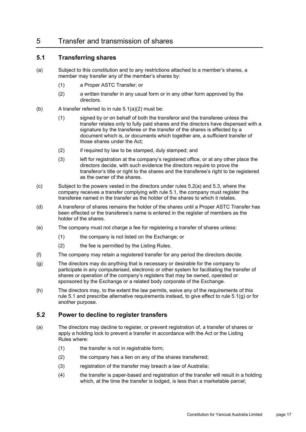# 5 Transfer and transmission of shares

### <span id="page-20-4"></span>**5.1 Transferring shares**

- (a) Subject to this constitution and to any restrictions attached to a member's shares, a member may transfer any of the member's shares by:
	- (1) a Proper ASTC Transfer; or
	- (2) a written transfer in any usual form or in any other form approved by the directors.
- <span id="page-20-2"></span><span id="page-20-1"></span>(b) A transfer referred to in rule  $5.1(a)(2)$  must be:
	- (1) signed by or on behalf of both the transferor and the transferee unless the transfer relates only to fully paid shares and the directors have dispensed with a signature by the transferee or the transfer of the shares is effected by a document which is, or documents which together are, a sufficient transfer of those shares under the Act;
	- (2) if required by law to be stamped, duly stamped; and
	- (3) left for registration at the company's registered office, or at any other place the directors decide, with such evidence the directors require to prove the transferor's title or right to the shares and the transferee's right to be registered as the owner of the shares.
- <span id="page-20-0"></span>(c) Subject to the powers vested in the directors under rules [5.2\(a\)](#page-20-3) and [5.3,](#page-21-2) where the company receives a transfer complying with rule [5.1,](#page-20-4) the company must register the transferee named in the transfer as the holder of the shares to which it relates.
- (d) A transferor of shares remains the holder of the shares until a Proper ASTC Transfer has been effected or the transferee's name is entered in the register of members as the holder of the shares.
- (e) The company must not charge a fee for registering a transfer of shares unless:
	- (1) the company is not listed on the Exchange; or
	- (2) the fee is permitted by the Listing Rules.
- (f) The company may retain a registered transfer for any period the directors decide.
- <span id="page-20-5"></span>(g) The directors may do anything that is necessary or desirable for the company to participate in any computerised, electronic or other system for facilitating the transfer of shares or operation of the company's registers that may be owned, operated or sponsored by the Exchange or a related body corporate of the Exchange.
- (h) The directors may, to the extent the law permits, waive any of the requirements of this rule [5.1](#page-20-4) and prescribe alternative requirements instead, to give effect to rule  $5.1(q)$  or for another purpose.

#### <span id="page-20-6"></span>**5.2 Power to decline to register transfers**

- <span id="page-20-3"></span>(a) The directors may decline to register, or prevent registration of, a transfer of shares or apply a holding lock to prevent a transfer in accordance with the Act or the Listing Rules where:
	- $(1)$  the transfer is not in registrable form;
	- (2) the company has a lien on any of the shares transferred;
	- (3) registration of the transfer may breach a law of Australia;
	- (4) the transfer is paper-based and registration of the transfer will result in a holding which, at the time the transfer is lodged, is less than a marketable parcel;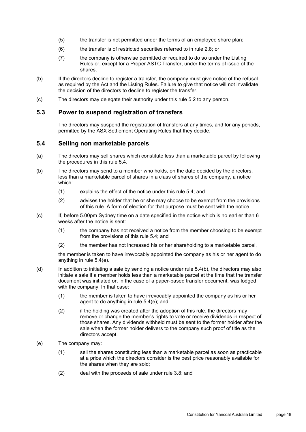- (5) the transfer is not permitted under the terms of an employee share plan;
- (6) the transfer is of restricted securities referred to in rule 2.8; or
- (7) the company is otherwise permitted or required to do so under the Listing Rules or, except for a Proper ASTC Transfer, under the terms of issue of the shares.
- (b) If the directors decline to register a transfer, the company must give notice of the refusal as required by the Act and the Listing Rules. Failure to give that notice will not invalidate the decision of the directors to decline to register the transfer.
- (c) The directors may delegate their authority under this rule [5.2](#page-20-6) to any person.

#### <span id="page-21-2"></span>**5.3 Power to suspend registration of transfers**

The directors may suspend the registration of transfers at any times, and for any periods, permitted by the ASX Settlement Operating Rules that they decide.

#### <span id="page-21-0"></span>**5.4 Selling non marketable parcels**

- (a) The directors may sell shares which constitute less than a marketable parcel by following the procedures in this rule [5.4.](#page-21-0)
- <span id="page-21-1"></span>(b) The directors may send to a member who holds, on the date decided by the directors, less than a marketable parcel of shares in a class of shares of the company, a notice which:
	- (1) explains the effect of the notice under this rule [5.4;](#page-21-0) and
	- (2) advises the holder that he or she may choose to be exempt from the provisions of this rule. A form of election for that purpose must be sent with the notice.
- (c) If, before 5.00pm Sydney time on a date specified in the notice which is no earlier than 6 weeks after the notice is sent:
	- (1) the company has not received a notice from the member choosing to be exempt from the provisions of this rule [5.4;](#page-21-0) and
	- (2) the member has not increased his or her shareholding to a marketable parcel,

the member is taken to have irrevocably appointed the company as his or her agent to do anything in rule [5.4\(e\).](#page-21-3)

- $(d)$  In addition to initiating a sale by sending a notice under rule  $5.4(b)$ , the directors may also initiate a sale if a member holds less than a marketable parcel at the time that the transfer document was initiated or, in the case of a paper-based transfer document, was lodged with the company. In that case:
	- (1) the member is taken to have irrevocably appointed the company as his or her agent to do anything in rule [5.4\(e\);](#page-21-3) and
	- (2) if the holding was created after the adoption of this rule, the directors may remove or change the member's rights to vote or receive dividends in respect of those shares. Any dividends withheld must be sent to the former holder after the sale when the former holder delivers to the company such proof of title as the directors accept.
- <span id="page-21-3"></span>(e) The company may:
	- (1) sell the shares constituting less than a marketable parcel as soon as practicable at a price which the directors consider is the best price reasonably available for the shares when they are sold;
	- (2) deal with the proceeds of sale under rule [3.8;](#page-14-1) and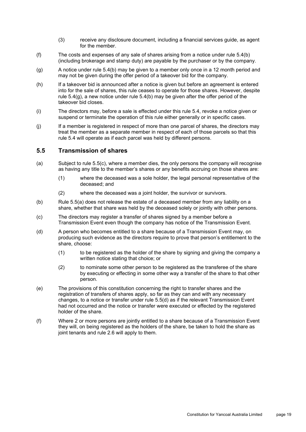- (3) receive any disclosure document, including a financial services guide, as agent for the member.
- (f) The costs and expenses of any sale of shares arising from a notice under rule [5.4\(b\)](#page-21-1) (including brokerage and stamp duty) are payable by the purchaser or by the company.
- <span id="page-22-0"></span>(g) A notice under rule [5.4\(b\)](#page-21-1) may be given to a member only once in a 12 month period and may not be given during the offer period of a takeover bid for the company.
- (h) If a takeover bid is announced after a notice is given but before an agreement is entered into for the sale of shares, this rule ceases to operate for those shares. However, despite rule [5.4\(g\),](#page-22-0) a new notice under rule [5.4\(b\)](#page-21-1) may be given after the offer period of the takeover bid closes.
- (i) The directors may, before a sale is effected under this rule [5.4,](#page-21-0) revoke a notice given or suspend or terminate the operation of this rule either generally or in specific cases.
- (j) If a member is registered in respect of more than one parcel of shares, the directors may treat the member as a separate member in respect of each of those parcels so that this rule [5.4](#page-21-0) will operate as if each parcel was held by different persons.

#### **5.5 Transmission of shares**

- <span id="page-22-2"></span>(a) Subject to rule [5.5\(c\),](#page-22-1) where a member dies, the only persons the company will recognise as having any title to the member's shares or any benefits accruing on those shares are:
	- (1) where the deceased was a sole holder, the legal personal representative of the deceased; and
	- (2) where the deceased was a joint holder, the survivor or survivors.
- (b) Rule [5.5\(a\)](#page-22-2) does not release the estate of a deceased member from any liability on a share, whether that share was held by the deceased solely or jointly with other persons.
- <span id="page-22-1"></span>(c) The directors may register a transfer of shares signed by a member before a Transmission Event even though the company has notice of the Transmission Event.
- <span id="page-22-3"></span>(d) A person who becomes entitled to a share because of a Transmission Event may, on producing such evidence as the directors require to prove that person's entitlement to the share, choose:
	- (1) to be registered as the holder of the share by signing and giving the company a written notice stating that choice; or
	- (2) to nominate some other person to be registered as the transferee of the share by executing or effecting in some other way a transfer of the share to that other person.
- (e) The provisions of this constitution concerning the right to transfer shares and the registration of transfers of shares apply, so far as they can and with any necessary changes, to a notice or transfer under rule [5.5\(d\)](#page-22-3) as if the relevant Transmission Event had not occurred and the notice or transfer were executed or effected by the registered holder of the share.
- (f) Where 2 or more persons are jointly entitled to a share because of a Transmission Event they will, on being registered as the holders of the share, be taken to hold the share as joint tenants and rule [2.6](#page-10-2) will apply to them.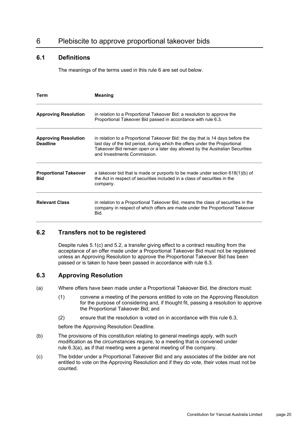# <span id="page-23-0"></span>6 Plebiscite to approve proportional takeover bids

# <span id="page-23-4"></span>**6.1 Definitions**

The meanings of the terms used in this rule [6](#page-23-0) are set out below.

| <b>Term</b>                                    | <b>Meaning</b>                                                                                                                                                                                                                                                              |
|------------------------------------------------|-----------------------------------------------------------------------------------------------------------------------------------------------------------------------------------------------------------------------------------------------------------------------------|
| <b>Approving Resolution</b>                    | in relation to a Proportional Takeover Bid: a resolution to approve the<br>Proportional Takeover Bid passed in accordance with rule 6.3.                                                                                                                                    |
| <b>Approving Resolution</b><br><b>Deadline</b> | in relation to a Proportional Takeover Bid: the day that is 14 days before the<br>last day of the bid period, during which the offers under the Proportional<br>Takeover Bid remain open or a later day allowed by the Australian Securities<br>and Investments Commission. |
| <b>Proportional Takeover</b><br><b>Bid</b>     | a takeover bid that is made or purports to be made under section $618(1)(b)$ of<br>the Act in respect of securities included in a class of securities in the<br>company.                                                                                                    |
| <b>Relevant Class</b>                          | in relation to a Proportional Takeover Bid, means the class of securities in the<br>company in respect of which offers are made under the Proportional Takeover<br>Bid.                                                                                                     |

#### <span id="page-23-5"></span>**6.2 Transfers not to be registered**

Despite rules [5.1\(c\)](#page-20-0) and [5.2,](#page-20-6) a transfer giving effect to a contract resulting from the acceptance of an offer made under a Proportional Takeover Bid must not be registered unless an Approving Resolution to approve the Proportional Takeover Bid has been passed or is taken to have been passed in accordance with rule [6.3.](#page-23-1)

#### <span id="page-23-1"></span>**6.3 Approving Resolution**

- <span id="page-23-2"></span>(a) Where offers have been made under a Proportional Takeover Bid, the directors must:
	- (1) convene a meeting of the persons entitled to vote on the Approving Resolution for the purpose of considering and, if thought fit, passing a resolution to approve the Proportional Takeover Bid; and
	- (2) ensure that the resolution is voted on in accordance with this rule [6.3,](#page-23-1)

before the Approving Resolution Deadline.

- (b) The provisions of this constitution relating to general meetings apply, with such modification as the circumstances require, to a meeting that is convened under rule [6.3\(a\),](#page-23-2) as if that meeting were a general meeting of the company.
- <span id="page-23-3"></span>(c) The bidder under a Proportional Takeover Bid and any associates of the bidder are not entitled to vote on the Approving Resolution and if they do vote, their votes must not be counted.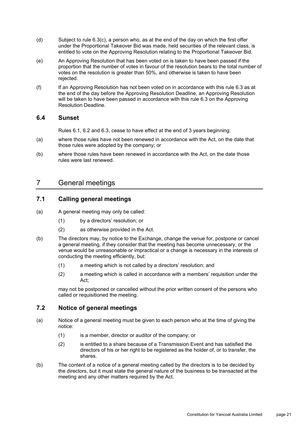- (d) Subject to rule [6.3\(c\),](#page-23-3) a person who, as at the end of the day on which the first offer under the Proportional Takeover Bid was made, held securities of the relevant class, is entitled to vote on the Approving Resolution relating to the Proportional Takeover Bid.
- (e) An Approving Resolution that has been voted on is taken to have been passed if the proportion that the number of votes in favour of the resolution bears to the total number of votes on the resolution is greater than 50%, and otherwise is taken to have been rejected.
- (f) If an Approving Resolution has not been voted on in accordance with this rule [6.3](#page-23-1) as at the end of the day before the Approving Resolution Deadline, an Approving Resolution will be taken to have been passed in accordance with this rule [6.3](#page-23-1) on the Approving Resolution Deadline.

#### **6.4 Sunset**

Rules [6.1,](#page-23-4) [6.2](#page-23-5) and [6.3,](#page-23-1) cease to have effect at the end of 3 years beginning:

- (a) where those rules have not been renewed in accordance with the Act, on the date that those rules were adopted by the company; or
- (b) where those rules have been renewed in accordance with the Act, on the date those rules were last renewed.

# 7 General meetings

## **7.1 Calling general meetings**

- (a) A general meeting may only be called:
	- (1) by a directors' resolution; or
	- (2) as otherwise provided in the Act.
- (b) The directors may, by notice to the Exchange, change the venue for, postpone or cancel a general meeting, if they consider that the meeting has become unnecessary, or the venue would be unreasonable or impractical or a change is necessary in the interests of conducting the meeting efficiently, but:
	- (1) a meeting which is not called by a directors' resolution; and
	- (2) a meeting which is called in accordance with a members' requisition under the Act;

may not be postponed or cancelled without the prior written consent of the persons who called or requisitioned the meeting.

# **7.2 Notice of general meetings**

- (a) Notice of a general meeting must be given to each person who at the time of giving the notice:
	- (1) is a member, director or auditor of the company; or
	- (2) is entitled to a share because of a Transmission Event and has satisfied the directors of his or her right to be registered as the holder of, or to transfer, the shares.
- (b) The content of a notice of a general meeting called by the directors is to be decided by the directors, but it must state the general nature of the business to be transacted at the meeting and any other matters required by the Act.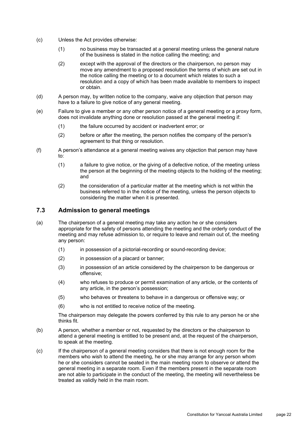- (c) Unless the Act provides otherwise:
	- (1) no business may be transacted at a general meeting unless the general nature of the business is stated in the notice calling the meeting; and
	- (2) except with the approval of the directors or the chairperson, no person may move any amendment to a proposed resolution the terms of which are set out in the notice calling the meeting or to a document which relates to such a resolution and a copy of which has been made available to members to inspect or obtain.
- (d) A person may, by written notice to the company, waive any objection that person may have to a failure to give notice of any general meeting.
- (e) Failure to give a member or any other person notice of a general meeting or a proxy form, does not invalidate anything done or resolution passed at the general meeting if:
	- (1) the failure occurred by accident or inadvertent error; or
	- (2) before or after the meeting, the person notifies the company of the person's agreement to that thing or resolution.
- (f) A person's attendance at a general meeting waives any objection that person may have to:
	- (1) a failure to give notice, or the giving of a defective notice, of the meeting unless the person at the beginning of the meeting objects to the holding of the meeting; and
	- (2) the consideration of a particular matter at the meeting which is not within the business referred to in the notice of the meeting, unless the person objects to considering the matter when it is presented.

# <span id="page-25-0"></span>**7.3 Admission to general meetings**

- (a) The chairperson of a general meeting may take any action he or she considers appropriate for the safety of persons attending the meeting and the orderly conduct of the meeting and may refuse admission to, or require to leave and remain out of, the meeting any person:
	- (1) in possession of a pictorial-recording or sound-recording device;
	- (2) in possession of a placard or banner;
	- (3) in possession of an article considered by the chairperson to be dangerous or offensive;
	- (4) who refuses to produce or permit examination of any article, or the contents of any article, in the person's possession;
	- (5) who behaves or threatens to behave in a dangerous or offensive way; or
	- (6) who is not entitled to receive notice of the meeting.

The chairperson may delegate the powers conferred by this rule to any person he or she thinks fit.

- (b) A person, whether a member or not, requested by the directors or the chairperson to attend a general meeting is entitled to be present and, at the request of the chairperson, to speak at the meeting.
- (c) If the chairperson of a general meeting considers that there is not enough room for the members who wish to attend the meeting, he or she may arrange for any person whom he or she considers cannot be seated in the main meeting room to observe or attend the general meeting in a separate room. Even if the members present in the separate room are not able to participate in the conduct of the meeting, the meeting will nevertheless be treated as validly held in the main room.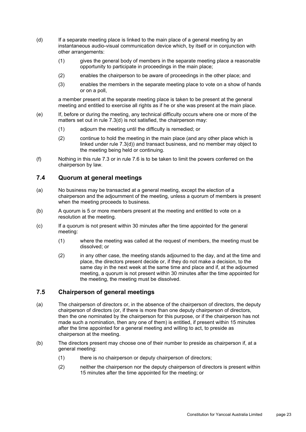- (d) If a separate meeting place is linked to the main place of a general meeting by an instantaneous audio-visual communication device which, by itself or in conjunction with other arrangements:
	- (1) gives the general body of members in the separate meeting place a reasonable opportunity to participate in proceedings in the main place;
	- (2) enables the chairperson to be aware of proceedings in the other place; and
	- (3) enables the members in the separate meeting place to vote on a show of hands or on a poll,

a member present at the separate meeting place is taken to be present at the general meeting and entitled to exercise all rights as if he or she was present at the main place.

- (e) If, before or during the meeting, any technical difficulty occurs where one or more of the matters set out in rule 7.3(d) is not satisfied, the chairperson may:
	- (1) adjourn the meeting until the difficulty is remedied; or
	- (2) continue to hold the meeting in the main place (and any other place which is linked under rule 7.3(d)) and transact business, and no member may object to the meeting being held or continuing.
- (f) Nothing in this rule [7.3](#page-25-0) or in rule [7.6](#page-27-0) is to be taken to limit the powers conferred on the chairperson by law.

#### **7.4 Quorum at general meetings**

- (a) No business may be transacted at a general meeting, except the election of a chairperson and the adjournment of the meeting, unless a quorum of members is present when the meeting proceeds to business.
- (b) A quorum is 5 or more members present at the meeting and entitled to vote on a resolution at the meeting.
- (c) If a quorum is not present within 30 minutes after the time appointed for the general meeting:
	- (1) where the meeting was called at the request of members, the meeting must be dissolved; or
	- (2) in any other case, the meeting stands adjourned to the day, and at the time and place, the directors present decide or, if they do not make a decision, to the same day in the next week at the same time and place and if, at the adjourned meeting, a quorum is not present within 30 minutes after the time appointed for the meeting, the meeting must be dissolved.

# **7.5 Chairperson of general meetings**

- (a) The chairperson of directors or, in the absence of the chairperson of directors, the deputy chairperson of directors (or, if there is more than one deputy chairperson of directors, then the one nominated by the chairperson for this purpose, or if the chairperson has not made such a nomination, then any one of them) is entitled, if present within 15 minutes after the time appointed for a general meeting and willing to act, to preside as chairperson at the meeting.
- <span id="page-26-0"></span>(b) The directors present may choose one of their number to preside as chairperson if, at a general meeting:
	- (1) there is no chairperson or deputy chairperson of directors;
	- (2) neither the chairperson nor the deputy chairperson of directors is present within 15 minutes after the time appointed for the meeting; or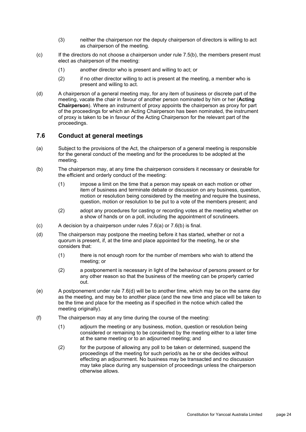- (3) neither the chairperson nor the deputy chairperson of directors is willing to act as chairperson of the meeting.
- (c) If the directors do not choose a chairperson under rule [7.5\(b\),](#page-26-0) the members present must elect as chairperson of the meeting:
	- (1) another director who is present and willing to act; or
	- (2) if no other director willing to act is present at the meeting, a member who is present and willing to act.
- (d) A chairperson of a general meeting may, for any item of business or discrete part of the meeting, vacate the chair in favour of another person nominated by him or her (**Acting Chairperson**). Where an instrument of proxy appoints the chairperson as proxy for part of the proceedings for which an Acting Chairperson has been nominated, the instrument of proxy is taken to be in favour of the Acting Chairperson for the relevant part of the proceedings.

#### <span id="page-27-0"></span>**7.6 Conduct at general meetings**

- <span id="page-27-1"></span>(a) Subject to the provisions of the Act, the chairperson of a general meeting is responsible for the general conduct of the meeting and for the procedures to be adopted at the meeting.
- <span id="page-27-2"></span>(b) The chairperson may, at any time the chairperson considers it necessary or desirable for the efficient and orderly conduct of the meeting:
	- (1) impose a limit on the time that a person may speak on each motion or other item of business and terminate debate or discussion on any business, question, motion or resolution being considered by the meeting and require the business, question, motion or resolution to be put to a vote of the members present; and
	- (2) adopt any procedures for casting or recording votes at the meeting whether on a show of hands or on a poll, including the appointment of scrutineers.
- (c) A decision by a chairperson under rules [7.6\(a\)](#page-27-1) or [7.6\(b\)](#page-27-2) is final.
- <span id="page-27-3"></span>(d) The chairperson may postpone the meeting before it has started, whether or not a quorum is present, if, at the time and place appointed for the meeting, he or she considers that:
	- (1) there is not enough room for the number of members who wish to attend the meeting; or
	- (2) a postponement is necessary in light of the behaviour of persons present or for any other reason so that the business of the meeting can be properly carried out.
- (e) A postponement under rule [7.6\(d\)](#page-27-3) will be to another time, which may be on the same day as the meeting, and may be to another place (and the new time and place will be taken to be the time and place for the meeting as if specified in the notice which called the meeting originally).
- <span id="page-27-4"></span>(f) The chairperson may at any time during the course of the meeting:
	- (1) adjourn the meeting or any business, motion, question or resolution being considered or remaining to be considered by the meeting either to a later time at the same meeting or to an adjourned meeting; and
	- (2) for the purpose of allowing any poll to be taken or determined, suspend the proceedings of the meeting for such period/s as he or she decides without effecting an adjournment. No business may be transacted and no discussion may take place during any suspension of proceedings unless the chairperson otherwise allows.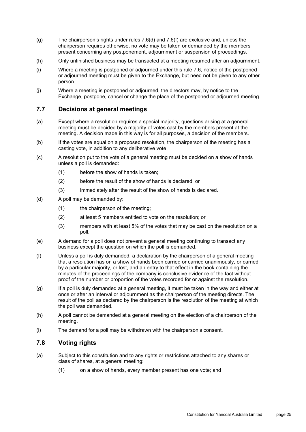- (g) The chairperson's rights under rules [7.6\(d\)](#page-27-3) and [7.6\(f\)](#page-27-4) are exclusive and, unless the chairperson requires otherwise, no vote may be taken or demanded by the members present concerning any postponement, adjournment or suspension of proceedings.
- (h) Only unfinished business may be transacted at a meeting resumed after an adjournment.
- (i) Where a meeting is postponed or adjourned under this rule [7.6,](#page-27-0) notice of the postponed or adjourned meeting must be given to the Exchange, but need not be given to any other person.
- (j) Where a meeting is postponed or adjourned, the directors may, by notice to the Exchange, postpone, cancel or change the place of the postponed or adjourned meeting.

#### **7.7 Decisions at general meetings**

- (a) Except where a resolution requires a special majority, questions arising at a general meeting must be decided by a majority of votes cast by the members present at the meeting. A decision made in this way is for all purposes, a decision of the members.
- (b) If the votes are equal on a proposed resolution, the chairperson of the meeting has a casting vote, in addition to any deliberative vote.
- (c) A resolution put to the vote of a general meeting must be decided on a show of hands unless a poll is demanded:
	- (1) before the show of hands is taken;
	- (2) before the result of the show of hands is declared; or
	- (3) immediately after the result of the show of hands is declared.
- (d) A poll may be demanded by:
	- (1) the chairperson of the meeting;
	- (2) at least 5 members entitled to vote on the resolution; or
	- (3) members with at least 5% of the votes that may be cast on the resolution on a poll.
- (e) A demand for a poll does not prevent a general meeting continuing to transact any business except the question on which the poll is demanded.
- (f) Unless a poll is duly demanded, a declaration by the chairperson of a general meeting that a resolution has on a show of hands been carried or carried unanimously, or carried by a particular majority, or lost, and an entry to that effect in the book containing the minutes of the proceedings of the company is conclusive evidence of the fact without proof of the number or proportion of the votes recorded for or against the resolution.
- (g) If a poll is duly demanded at a general meeting, it must be taken in the way and either at once or after an interval or adjournment as the chairperson of the meeting directs. The result of the poll as declared by the chairperson is the resolution of the meeting at which the poll was demanded.
- (h) A poll cannot be demanded at a general meeting on the election of a chairperson of the meeting.
- (i) The demand for a poll may be withdrawn with the chairperson's consent.

#### **7.8 Voting rights**

- (a) Subject to this constitution and to any rights or restrictions attached to any shares or class of shares, at a general meeting:
	- (1) on a show of hands, every member present has one vote; and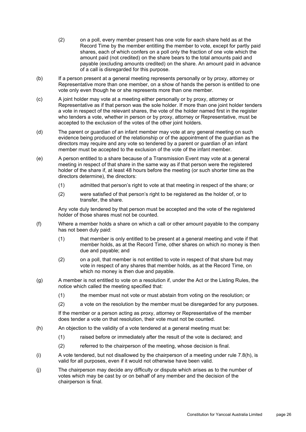- (2) on a poll, every member present has one vote for each share held as at the Record Time by the member entitling the member to vote, except for partly paid shares, each of which confers on a poll only the fraction of one vote which the amount paid (not credited) on the share bears to the total amounts paid and payable (excluding amounts credited) on the share. An amount paid in advance of a call is disregarded for this purpose.
- (b) If a person present at a general meeting represents personally or by proxy, attorney or Representative more than one member, on a show of hands the person is entitled to one vote only even though he or she represents more than one member.
- (c) A joint holder may vote at a meeting either personally or by proxy, attorney or Representative as if that person was the sole holder. If more than one joint holder tenders a vote in respect of the relevant shares, the vote of the holder named first in the register who tenders a vote, whether in person or by proxy, attorney or Representative, must be accepted to the exclusion of the votes of the other joint holders.
- (d) The parent or guardian of an infant member may vote at any general meeting on such evidence being produced of the relationship or of the appointment of the guardian as the directors may require and any vote so tendered by a parent or guardian of an infant member must be accepted to the exclusion of the vote of the infant member.
- (e) A person entitled to a share because of a Transmission Event may vote at a general meeting in respect of that share in the same way as if that person were the registered holder of the share if, at least 48 hours before the meeting (or such shorter time as the directors determine), the directors:
	- (1) admitted that person's right to vote at that meeting in respect of the share; or
	- (2) were satisfied of that person's right to be registered as the holder of, or to transfer, the share.

Any vote duly tendered by that person must be accepted and the vote of the registered holder of those shares must not be counted.

- (f) Where a member holds a share on which a call or other amount payable to the company has not been duly paid:
	- (1) that member is only entitled to be present at a general meeting and vote if that member holds, as at the Record Time, other shares on which no money is then due and payable; and
	- (2) on a poll, that member is not entitled to vote in respect of that share but may vote in respect of any shares that member holds, as at the Record Time, on which no money is then due and payable.
- (g) A member is not entitled to vote on a resolution if, under the Act or the Listing Rules, the notice which called the meeting specified that:
	- (1) the member must not vote or must abstain from voting on the resolution; or
	- (2) a vote on the resolution by the member must be disregarded for any purposes.

If the member or a person acting as proxy, attorney or Representative of the member does tender a vote on that resolution, their vote must not be counted.

- <span id="page-29-0"></span>(h) An objection to the validity of a vote tendered at a general meeting must be:
	- (1) raised before or immediately after the result of the vote is declared; and
	- (2) referred to the chairperson of the meeting, whose decision is final.
- (i) A vote tendered, but not disallowed by the chairperson of a meeting under rule [7.8\(h\),](#page-29-0) is valid for all purposes, even if it would not otherwise have been valid.
- (j) The chairperson may decide any difficulty or dispute which arises as to the number of votes which may be cast by or on behalf of any member and the decision of the chairperson is final.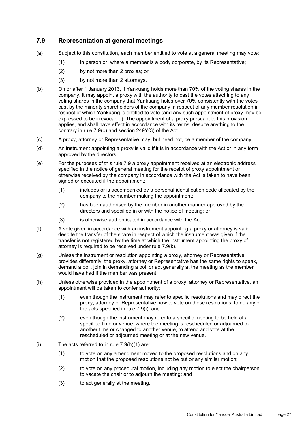# <span id="page-30-0"></span>**7.9 Representation at general meetings**

- (a) Subject to this constitution, each member entitled to vote at a general meeting may vote:
	- (1) in person or, where a member is a body corporate, by its Representative;
	- (2) by not more than 2 proxies; or
	- (3) by not more than 2 attorneys.
- (b) On or after 1 January 2013, if Yankuang holds more than 70% of the voting shares in the company, it may appoint a proxy with the authority to cast the votes attaching to any voting shares in the company that Yankuang holds over 70% consistently with the votes cast by the minority shareholders of the company in respect of any member resolution in respect of which Yankuang is entitled to vote (and any such appointment of proxy may be expressed to be irrevocable). The appointment of a proxy pursuant to this provision applies, and shall have effect in accordance with its terms, despite anything to the contrary in rule 7.9(o) and section 249Y(3) of the Act.
- (c) A proxy, attorney or Representative may, but need not, be a member of the company.
- (d) An instrument appointing a proxy is valid if it is in accordance with the Act or in any form approved by the directors.
- (e) For the purposes of this rule [7.9](#page-30-0) a proxy appointment received at an electronic address specified in the notice of general meeting for the receipt of proxy appointment or otherwise received by the company in accordance with the Act is taken to have been signed or executed if the appointment:
	- (1) includes or is accompanied by a personal identification code allocated by the company to the member making the appointment;
	- (2) has been authorised by the member in another manner approved by the directors and specified in or with the notice of meeting; or
	- (3) is otherwise authenticated in accordance with the Act.
- (f) A vote given in accordance with an instrument appointing a proxy or attorney is valid despite the transfer of the share in respect of which the instrument was given if the transfer is not registered by the time at which the instrument appointing the proxy of attorney is required to be received under rule [7.9\(k\).](#page-31-0)
- (g) Unless the instrument or resolution appointing a proxy, attorney or Representative provides differently, the proxy, attorney or Representative has the same rights to speak, demand a poll, join in demanding a poll or act generally at the meeting as the member would have had if the member was present.
- <span id="page-30-2"></span>(h) Unless otherwise provided in the appointment of a proxy, attorney or Representative, an appointment will be taken to confer authority:
	- (1) even though the instrument may refer to specific resolutions and may direct the proxy, attorney or Representative how to vote on those resolutions, to do any of the acts specified in rule [7.9\(i\);](#page-30-1) and
	- (2) even though the instrument may refer to a specific meeting to be held at a specified time or venue, where the meeting is rescheduled or adjourned to another time or changed to another venue, to attend and vote at the rescheduled or adjourned meeting or at the new venue.
- <span id="page-30-1"></span>(i) The acts referred to in rule  $7.9(h)(1)$  are:
	- (1) to vote on any amendment moved to the proposed resolutions and on any motion that the proposed resolutions not be put or any similar motion;
	- (2) to vote on any procedural motion, including any motion to elect the chairperson, to vacate the chair or to adjourn the meeting; and
	- (3) to act generally at the meeting.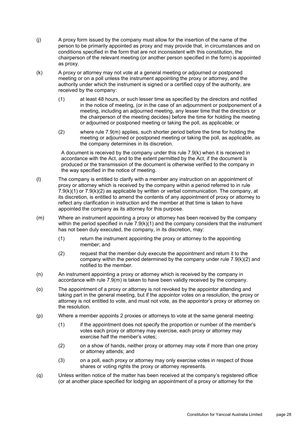- (j) A proxy form issued by the company must allow for the insertion of the name of the person to be primarily appointed as proxy and may provide that, in circumstances and on conditions specified in the form that are not inconsistent with this constitution, the chairperson of the relevant meeting (or another person specified in the form) is appointed as proxy.
- <span id="page-31-2"></span><span id="page-31-0"></span>(k) A proxy or attorney may not vote at a general meeting or adjourned or postponed meeting or on a poll unless the instrument appointing the proxy or attorney, and the authority under which the instrument is signed or a certified copy of the authority, are received by the company:
	- (1) at least 48 hours, or such lesser time as specified by the directors and notified in the notice of meeting, (or in the case of an adjournment or postponement of a meeting, including an adjourned meeting, any lesser time that the directors or the chairperson of the meeting decides) before the time for holding the meeting or adjourned or postponed meeting or taking the poll, as applicable; or
	- (2) where rule [7.9\(m\)](#page-31-1) applies, such shorter period before the time for holding the meeting or adjourned or postponed meeting or taking the poll, as applicable, as the company determines in its discretion.

<span id="page-31-3"></span>A document is received by the company under this rule [7.9\(k\)](#page-31-0) when it is received in accordance with the Act, and to the extent permitted by the Act, if the document is produced or the transmission of the document is otherwise verified to the company in the way specified in the notice of meeting.

- <span id="page-31-4"></span>(l) The company is entitled to clarify with a member any instruction on an appointment of proxy or attorney which is received by the company within a period referred to in rule  $7.9(k)(1)$  or  $7.9(k)(2)$  as applicable by written or verbal communication. The company, at its discretion, is entitled to amend the contents of any appointment of proxy or attorney to reflect any clarification in instruction and the member at that time is taken to have appointed the company as its attorney for this purpose.
- <span id="page-31-1"></span>(m) Where an instrument appointing a proxy or attorney has been received by the company within the period specified in rule  $7.9(k)(1)$  and the company considers that the instrument has not been duly executed, the company, in its discretion, may:
	- (1) return the instrument appointing the proxy or attorney to the appointing member; and
	- (2) request that the member duly execute the appointment and return it to the company within the period determined by the company under rule [7.9\(k\)\(2\)](#page-31-3) and notified to the member.
- (n) An instrument appointing a proxy or attorney which is received by the company in accordance with rule [7.9\(m\)](#page-31-1) is taken to have been validly received by the company.
- (o) The appointment of a proxy or attorney is not revoked by the appointor attending and taking part in the general meeting, but if the appointor votes on a resolution, the proxy or attorney is not entitled to vote, and must not vote, as the appointor's proxy or attorney on the resolution.
- (p) Where a member appoints 2 proxies or attorneys to vote at the same general meeting:
	- (1) if the appointment does not specify the proportion or number of the member's votes each proxy or attorney may exercise, each proxy or attorney may exercise half the member's votes;
	- (2) on a show of hands, neither proxy or attorney may vote if more than one proxy or attorney attends; and
	- (3) on a poll, each proxy or attorney may only exercise votes in respect of those shares or voting rights the proxy or attorney represents.
- (q) Unless written notice of the matter has been received at the company's registered office (or at another place specified for lodging an appointment of a proxy or attorney for the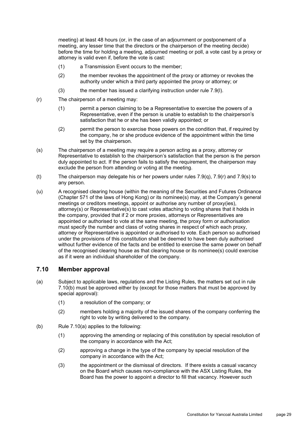meeting) at least 48 hours (or, in the case of an adjournment or postponement of a meeting, any lesser time that the directors or the chairperson of the meeting decide) before the time for holding a meeting, adjourned meeting or poll, a vote cast by a proxy or attorney is valid even if, before the vote is cast:

- (1) a Transmission Event occurs to the member;
- (2) the member revokes the appointment of the proxy or attorney or revokes the authority under which a third party appointed the proxy or attorney; or
- (3) the member has issued a clarifying instruction under rule [7.9\(l\).](#page-31-4)
- (r) The chairperson of a meeting may:
	- (1) permit a person claiming to be a Representative to exercise the powers of a Representative, even if the person is unable to establish to the chairperson's satisfaction that he or she has been validly appointed; or
	- (2) permit the person to exercise those powers on the condition that, if required by the company, he or she produce evidence of the appointment within the time set by the chairperson.
- (s) The chairperson of a meeting may require a person acting as a proxy, attorney or Representative to establish to the chairperson's satisfaction that the person is the person duly appointed to act. If the person fails to satisfy the requirement, the chairperson may exclude the person from attending or voting at the meeting.
- (t) The chairperson may delegate his or her powers under rules 7.9(q), 7.9(r) and 7.9(s) to any person.
- (u) A recognised clearing house (within the meaning of the Securities and Futures Ordinance (Chapter 571 of the laws of Hong Kong) or its nominee(s) may, at the Company's general meetings or creditors meetings, appoint or authorise any number of proxy(ies), attorney(s) or Representative(s) to cast votes attaching to voting shares that it holds in the company, provided that if 2 or more proxies, attorneys or Representatives are appointed or authorised to vote at the same meeting, the proxy form or authorisation must specify the number and class of voting shares in respect of which each proxy, attorney or Representative is appointed or authorised to vote. Each person so authorised under the provisions of this constitution shall be deemed to have been duly authorised without further evidence of the facts and be entitled to exercise the same power on behalf of the recognised clearing house as that clearing house or its nominee(s) could exercise as if it were an individual shareholder of the company.

#### <span id="page-32-0"></span>**7.10 Member approval**

- (a) Subject to applicable laws, regulations and the Listing Rules, the matters set out in rule [7.10\(b\)](#page-32-1) must be approved either by (except for those matters that must be approved by special approval):
	- (1) a resolution of the company; or
	- (2) members holding a majority of the issued shares of the company conferring the right to vote by writing delivered to the company.
- <span id="page-32-1"></span>(b) Rule 7.10(a) applies to the following:
	- (1) approving the amending or replacing of this constitution by special resolution of the company in accordance with the Act;
	- (2) approving a change in the type of the company by special resolution of the company in accordance with the Act;
	- (3) the appointment or the dismissal of directors. If there exists a casual vacancy on the Board which causes non-compliance with the ASX Listing Rules, the Board has the power to appoint a director to fill that vacancy. However such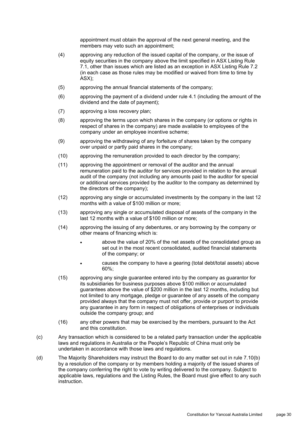appointment must obtain the approval of the next general meeting, and the members may veto such an appointment;

- (4) approving any reduction of the issued capital of the company, or the issue of equity securities in the company above the limit specified in ASX Listing Rule 7.1, other than issues which are listed as an exception in ASX Listing Rule 7.2 (in each case as those rules may be modified or waived from time to time by ASX);
- (5) approving the annual financial statements of the company;
- (6) approving the payment of a dividend under rule [4.1](#page-15-2) (including the amount of the dividend and the date of payment);
- (7) approving a loss recovery plan;
- (8) approving the terms upon which shares in the company (or options or rights in respect of shares in the company) are made available to employees of the company under an employee incentive scheme;
- (9) approving the withdrawing of any forfeiture of shares taken by the company over unpaid or partly paid shares in the company;
- (10) approving the remuneration provided to each director by the company;
- (11) approving the appointment or removal of the auditor and the annual remuneration paid to the auditor for services provided in relation to the annual audit of the company (not including any amounts paid to the auditor for special or additional services provided by the auditor to the company as determined by the directors of the company);
- (12) approving any single or accumulated investments by the company in the last 12 months with a value of \$100 million or more;
- (13) approving any single or accumulated disposal of assets of the company in the last 12 months with a value of \$100 million or more;
- (14) approving the issuing of any debentures, or any borrowing by the company or other means of financing which is:
	- above the value of 20% of the net assets of the consolidated group as set out in the most recent consolidated, audited financial statements of the company; or
	- causes the company to have a gearing (total debt/total assets) above 60%;
- (15) approving any single guarantee entered into by the company as guarantor for its subsidiaries for business purposes above \$100 million or accumulated guarantees above the value of \$200 million in the last 12 months, including but not limited to any mortgage, pledge or guarantee of any assets of the company provided always that the company must not offer, provide or purport to provide any guarantee in any form in respect of obligations of enterprises or individuals outside the company group; and
- (16) any other powers that may be exercised by the members, pursuant to the Act and this constitution.
- (c) Any transaction which is considered to be a related party transaction under the applicable laws and regulations in Australia or the People's Republic of China must only be undertaken in accordance with those laws and regulations.
- (d) The Majority Shareholders may instruct the Board to do any matter set out in rule [7.10\(b\)](#page-32-1) by a resolution of the company or by members holding a majority of the issued shares of the company conferring the right to vote by writing delivered to the company. Subject to applicable laws, regulations and the Listing Rules, the Board must give effect to any such instruction.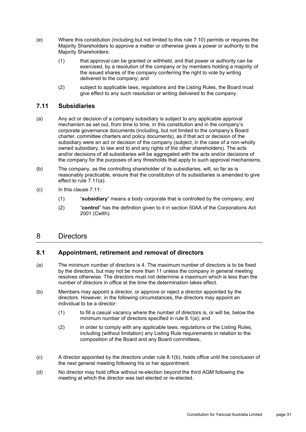- (e) Where this constitution (including but not limited to this rule [7.10\)](#page-32-0) permits or requires the Majority Shareholders to approve a matter or otherwise gives a power or authority to the Majority Shareholders:
	- (1) that approval can be granted or withheld, and that power or authority can be exercised, by a resolution of the company or by members holding a majority of the issued shares of the company conferring the right to vote by writing delivered to the company; and
	- (2) subject to applicable laws, regulations and the Listing Rules, the Board must give effect to any such resolution or writing delivered to the company.

#### **7.11 Subsidiaries**

- (a) Any act or decision of a company subsidiary is subject to any applicable approval mechanism as set out, from time to time, in this constitution and in the company's corporate governance documents (including, but not limited to the company's Board charter, committee charters and policy documents), as if that act or decision of the subsidiary were an act or decision of the company (subject, in the case of a non-wholly owned subsidiary, to law and to and any rights of the other shareholders). The acts and/or decisions of all subsidiaries will be aggregated with the acts and/or decisions of the company for the purposes of any thresholds that apply to such approval mechanisms.
- (b) The company, as the controlling shareholder of its subsidiaries, will, so far as is reasonably practicable, ensure that the constitution of its subsidiaries is amended to give effect to rule 7.11(a).
- (c) In this clause 7.11:
	- (1) "**subsidiary**" means a body corporate that is controlled by the company; and
	- (2) "**control**" has the definition given to it in section 50AA of the Corporations Act 2001 (Cwlth).

# 8 Directors

#### **8.1 Appointment, retirement and removal of directors**

- <span id="page-34-1"></span>(a) The minimum number of directors is 4. The maximum number of directors is to be fixed by the directors, but may not be more than 11 unless the company in general meeting resolves otherwise. The directors must not determine a maximum which is less than the number of directors in office at the time the determination takes effect.
- <span id="page-34-0"></span>(b) Members may appoint a director, or approve or reject a director appointed by the directors. However, in the following circumstances, the directors may appoint an individual to be a director:
	- (1) to fill a casual vacancy where the number of directors is, or will be, below the minimum number of directors specified in rule [8.1\(a\);](#page-34-1) and
	- (2) in order to comply with any applicable laws, regulations or the Listing Rules, including (without limitation) any Listing Rule requirements in relation to the composition of the Board and any Board committees,
- <span id="page-34-2"></span>(c) A director appointed by the directors under rule [8.1\(b\),](#page-34-0) holds office until the conclusion of the next general meeting following his or her appointment.
- <span id="page-34-3"></span>(d) No director may hold office without re-election beyond the third AGM following the meeting at which the director was last elected or re-elected.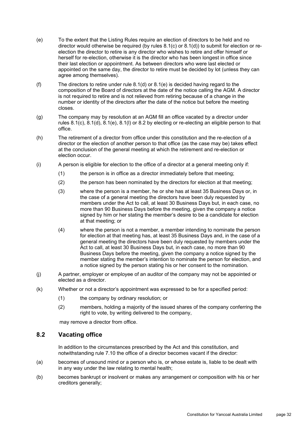- <span id="page-35-0"></span>(e) To the extent that the Listing Rules require an election of directors to be held and no director would otherwise be required (by rules [8.1\(c\)](#page-34-2) or [8.1\(d\)\)](#page-34-3) to submit for election or reelection the director to retire is any director who wishes to retire and offer himself or herself for re-election, otherwise it is the director who has been longest in office since their last election or appointment. As between directors who were last elected or appointed on the same day, the director to retire must be decided by lot (unless they can agree among themselves).
- (f) The directors to retire under rule [8.1\(d\)](#page-34-3) or [8.1\(e\)](#page-35-0) is decided having regard to the composition of the Board of directors at the date of the notice calling the AGM. A director is not required to retire and is not relieved from retiring because of a change in the number or identity of the directors after the date of the notice but before the meeting closes.
- (g) The company may by resolution at an AGM fill an office vacated by a director under rules [8.1\(c\),](#page-34-2) [8.1\(d\),](#page-34-3) [8.1\(e\),](#page-35-0) 8.1(l) or [8.2](#page-35-1) by electing or re-electing an eligible person to that office.
- (h) The retirement of a director from office under this constitution and the re-election of a director or the election of another person to that office (as the case may be) takes effect at the conclusion of the general meeting at which the retirement and re-election or election occur.
- (i) A person is eligible for election to the office of a director at a general meeting only if:
	- (1) the person is in office as a director immediately before that meeting;
	- (2) the person has been nominated by the directors for election at that meeting;
	- (3) where the person is a member, he or she has at least 35 Business Days or, in the case of a general meeting the directors have been duly requested by members under the Act to call, at least 30 Business Days but, in each case, no more than 90 Business Days before the meeting, given the company a notice signed by him or her stating the member's desire to be a candidate for election at that meeting; or
	- (4) where the person is not a member, a member intending to nominate the person for election at that meeting has, at least 35 Business Days and, in the case of a general meeting the directors have been duly requested by members under the Act to call, at least 30 Business Days but, in each case, no more than 90 Business Days before the meeting, given the company a notice signed by the member stating the member's intention to nominate the person for election, and a notice signed by the person stating his or her consent to the nomination.
- (j) A partner, employer or employee of an auditor of the company may not be appointed or elected as a director.
- (k) Whether or not a director's appointment was expressed to be for a specified period:
	- (1) the company by ordinary resolution; or
	- (2) members, holding a majority of the issued shares of the company conferring the right to vote, by writing delivered to the company,

may remove a director from office.

#### <span id="page-35-1"></span>**8.2 Vacating office**

In addition to the circumstances prescribed by the Act and this constitution, and notwithstanding rule [7.10](#page-32-0) the office of a director becomes vacant if the director:

- (a) becomes of unsound mind or a person who is, or whose estate is, liable to be dealt with in any way under the law relating to mental health;
- (b) becomes bankrupt or insolvent or makes any arrangement or composition with his or her creditors generally;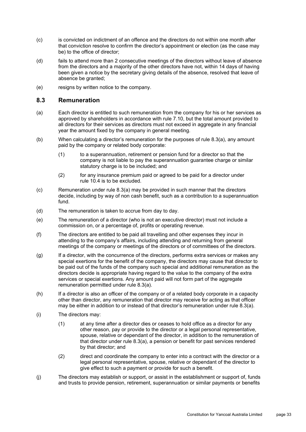- (c) is convicted on indictment of an offence and the directors do not within one month after that conviction resolve to confirm the director's appointment or election (as the case may be) to the office of director;
- (d) fails to attend more than 2 consecutive meetings of the directors without leave of absence from the directors and a majority of the other directors have not, within 14 days of having been given a notice by the secretary giving details of the absence, resolved that leave of absence be granted;
- (e) resigns by written notice to the company.

#### **8.3 Remuneration**

- <span id="page-36-0"></span>(a) Each director is entitled to such remuneration from the company for his or her services as approved by shareholders in accordance with rule [7.10,](#page-32-0) but the total amount provided to all directors for their services as directors must not exceed in aggregate in any financial year the amount fixed by the company in general meeting.
- (b) When calculating a director's remuneration for the purposes of rule [8.3\(a\),](#page-36-0) any amount paid by the company or related body corporate:
	- (1) to a superannuation, retirement or pension fund for a director so that the company is not liable to pay the superannuation guarantee charge or similar statutory charge is to be included; and
	- (2) for any insurance premium paid or agreed to be paid for a director under rule [10.4](#page-46-0) is to be excluded.
- (c) Remuneration under rule [8.3\(a\)](#page-36-0) may be provided in such manner that the directors decide, including by way of non cash benefit, such as a contribution to a superannuation fund.
- (d) The remuneration is taken to accrue from day to day.
- (e) The remuneration of a director (who is not an executive director) must not include a commission on, or a percentage of, profits or operating revenue.
- (f) The directors are entitled to be paid all travelling and other expenses they incur in attending to the company's affairs, including attending and returning from general meetings of the company or meetings of the directors or of committees of the directors.
- <span id="page-36-1"></span>(g) If a director, with the concurrence of the directors, performs extra services or makes any special exertions for the benefit of the company, the directors may cause that director to be paid out of the funds of the company such special and additional remuneration as the directors decide is appropriate having regard to the value to the company of the extra services or special exertions. Any amount paid will not form part of the aggregate remuneration permitted under rule [8.3\(a\).](#page-36-0)
- (h) If a director is also an officer of the company or of a related body corporate in a capacity other than director, any remuneration that director may receive for acting as that officer may be either in addition to or instead of that director's remuneration under rule [8.3\(a\).](#page-36-0)
- (i) The directors may:
	- (1) at any time after a director dies or ceases to hold office as a director for any other reason, pay or provide to the director or a legal personal representative, spouse, relative or dependant of the director, in addition to the remuneration of that director under rule [8.3\(a\),](#page-36-0) a pension or benefit for past services rendered by that director; and
	- (2) direct and coordinate the company to enter into a contract with the director or a legal personal representative, spouse, relative or dependant of the director to give effect to such a payment or provide for such a benefit.
- (j) The directors may establish or support, or assist in the establishment or support of, funds and trusts to provide pension, retirement, superannuation or similar payments or benefits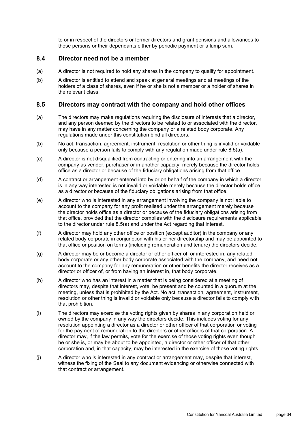to or in respect of the directors or former directors and grant pensions and allowances to those persons or their dependants either by periodic payment or a lump sum.

#### **8.4 Director need not be a member**

- (a) A director is not required to hold any shares in the company to qualify for appointment.
- (b) A director is entitled to attend and speak at general meetings and at meetings of the holders of a class of shares, even if he or she is not a member or a holder of shares in the relevant class.

#### **8.5 Directors may contract with the company and hold other offices**

- <span id="page-37-0"></span>(a) The directors may make regulations requiring the disclosure of interests that a director, and any person deemed by the directors to be related to or associated with the director, may have in any matter concerning the company or a related body corporate. Any regulations made under this constitution bind all directors.
- (b) No act, transaction, agreement, instrument, resolution or other thing is invalid or voidable only because a person fails to comply with any regulation made under rule [8.5\(a\).](#page-37-0)
- (c) A director is not disqualified from contracting or entering into an arrangement with the company as vendor, purchaser or in another capacity, merely because the director holds office as a director or because of the fiduciary obligations arising from that office.
- (d) A contract or arrangement entered into by or on behalf of the company in which a director is in any way interested is not invalid or voidable merely because the director holds office as a director or because of the fiduciary obligations arising from that office.
- (e) A director who is interested in any arrangement involving the company is not liable to account to the company for any profit realised under the arrangement merely because the director holds office as a director or because of the fiduciary obligations arising from that office, provided that the director complies with the disclosure requirements applicable to the director under rule [8.5\(a\)](#page-37-0) and under the Act regarding that interest.
- (f) A director may hold any other office or position (except auditor) in the company or any related body corporate in conjunction with his or her directorship and may be appointed to that office or position on terms (including remuneration and tenure) the directors decide.
- (g) A director may be or become a director or other officer of, or interested in, any related body corporate or any other body corporate associated with the company, and need not account to the company for any remuneration or other benefits the director receives as a director or officer of, or from having an interest in, that body corporate.
- (h) A director who has an interest in a matter that is being considered at a meeting of directors may, despite that interest, vote, be present and be counted in a quorum at the meeting, unless that is prohibited by the Act. No act, transaction, agreement, instrument, resolution or other thing is invalid or voidable only because a director fails to comply with that prohibition.
- (i) The directors may exercise the voting rights given by shares in any corporation held or owned by the company in any way the directors decide. This includes voting for any resolution appointing a director as a director or other officer of that corporation or voting for the payment of remuneration to the directors or other officers of that corporation. A director may, if the law permits, vote for the exercise of those voting rights even though he or she is, or may be about to be appointed, a director or other officer of that other corporation and, in that capacity, may be interested in the exercise of those voting rights.
- (j) A director who is interested in any contract or arrangement may, despite that interest, witness the fixing of the Seal to any document evidencing or otherwise connected with that contract or arrangement.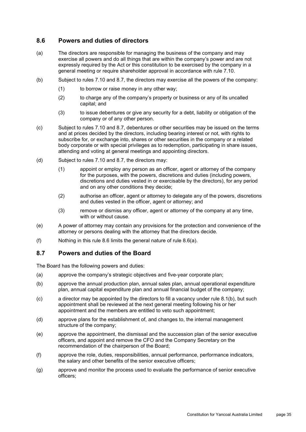# <span id="page-38-1"></span>**8.6 Powers and duties of directors**

- <span id="page-38-2"></span>(a) The directors are responsible for managing the business of the company and may exercise all powers and do all things that are within the company's power and are not expressly required by the Act or this constitution to be exercised by the company in a general meeting or require shareholder approval in accordance with rule [7.10.](#page-32-0)
- (b) Subject to rules [7.10](#page-32-0) and [8.7,](#page-38-0) the directors may exercise all the powers of the company:
	- (1) to borrow or raise money in any other way;
	- (2) to charge any of the company's property or business or any of its uncalled capital; and
	- (3) to issue debentures or give any security for a debt, liability or obligation of the company or of any other person.
- (c) Subject to rules [7.10](#page-32-0) and [8.7,](#page-38-0) debentures or other securities may be issued on the terms and at prices decided by the directors, including bearing interest or not, with rights to subscribe for, or exchange into, shares or other securities in the company or a related body corporate or with special privileges as to redemption, participating in share issues, attending and voting at general meetings and appointing directors.
- (d) Subject to rules [7.10](#page-32-0) and [8.7,](#page-38-0) the directors may:
	- (1) appoint or employ any person as an officer, agent or attorney of the company for the purposes, with the powers, discretions and duties (including powers, discretions and duties vested in or exercisable by the directors), for any period and on any other conditions they decide;
	- (2) authorise an officer, agent or attorney to delegate any of the powers, discretions and duties vested in the officer, agent or attorney; and
	- (3) remove or dismiss any officer, agent or attorney of the company at any time, with or without cause.
- (e) A power of attorney may contain any provisions for the protection and convenience of the attorney or persons dealing with the attorney that the directors decide.
- (f) Nothing in this rule [8.6](#page-38-1) limits the general nature of rule [8.6\(a\).](#page-38-2)

#### <span id="page-38-0"></span>**8.7 Powers and duties of the Board**

The Board has the following powers and duties:

- (a) approve the company's strategic objectives and five-year corporate plan;
- (b) approve the annual production plan, annual sales plan, annual operational expenditure plan, annual capital expenditure plan and annual financial budget of the company;
- (c) a director may be appointed by the directors to fill a vacancy under rule [8.1\(b\),](#page-34-0) but such appointment shall be reviewed at the next general meeting following his or her appointment and the members are entitled to veto such appointment;
- (d) approve plans for the establishment of, and changes to, the internal management structure of the company;
- (e) approve the appointment, the dismissal and the succession plan of the senior executive officers, and appoint and remove the CFO and the Company Secretary on the recommendation of the chairperson of the Board;
- (f) approve the role, duties, responsibilities, annual performance, performance indicators, the salary and other benefits of the senior executive officers;
- (g) approve and monitor the process used to evaluate the performance of senior executive officers;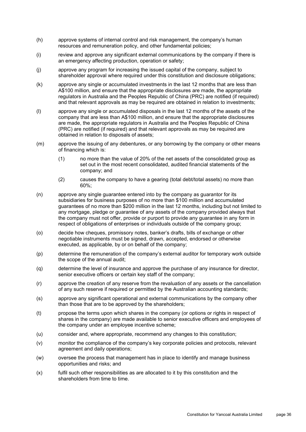- (h) approve systems of internal control and risk management, the company's human resources and remuneration policy, and other fundamental policies;
- (i) review and approve any significant external communications by the company if there is an emergency affecting production, operation or safety;
- (j) approve any program for increasing the issued capital of the company, subject to shareholder approval where required under this constitution and disclosure obligations;
- (k) approve any single or accumulated investments in the last 12 months that are less than A\$100 million, and ensure that the appropriate disclosures are made, the appropriate regulators in Australia and the Peoples Republic of China (PRC) are notified (if required) and that relevant approvals as may be required are obtained in relation to investments;
- (l) approve any single or accumulated disposals in the last 12 months of the assets of the company that are less than A\$100 million, and ensure that the appropriate disclosures are made, the appropriate regulators in Australia and the Peoples Republic of China (PRC) are notified (if required) and that relevant approvals as may be required are obtained in relation to disposals of assets;
- (m) approve the issuing of any debentures, or any borrowing by the company or other means of financing which is:
	- (1) no more than the value of 20% of the net assets of the consolidated group as set out in the most recent consolidated, audited financial statements of the company; and
	- (2) causes the company to have a gearing (total debt/total assets) no more than 60%;
- (n) approve any single guarantee entered into by the company as guarantor for its subsidiaries for business purposes of no more than \$100 million and accumulated guarantees of no more than \$200 million in the last 12 months, including but not limited to any mortgage, pledge or guarantee of any assets of the company provided always that the company must not offer, provide or purport to provide any guarantee in any form in respect of obligations of enterprises or individuals outside of the company group;
- (o) decide how cheques, promissory notes, banker's drafts, bills of exchange or other negotiable instruments must be signed, drawn, accepted, endorsed or otherwise executed, as applicable, by or on behalf of the company;
- (p) determine the remuneration of the company's external auditor for temporary work outside the scope of the annual audit;
- (q) determine the level of insurance and approve the purchase of any insurance for director, senior executive officers or certain key staff of the company;
- (r) approve the creation of any reserve from the revaluation of any assets or the cancellation of any such reserve if required or permitted by the Australian accounting standards;
- (s) approve any significant operational and external communications by the company other than those that are to be approved by the shareholders;
- (t) propose the terms upon which shares in the company (or options or rights in respect of shares in the company) are made available to senior executive officers and employees of the company under an employee incentive scheme;
- (u) consider and, where appropriate, recommend any changes to this constitution;
- (v) monitor the compliance of the company's key corporate policies and protocols, relevant agreement and daily operations;
- (w) oversee the process that management has in place to identify and manage business opportunities and risks; and
- (x) fulfil such other responsibilities as are allocated to it by this constitution and the shareholders from time to time.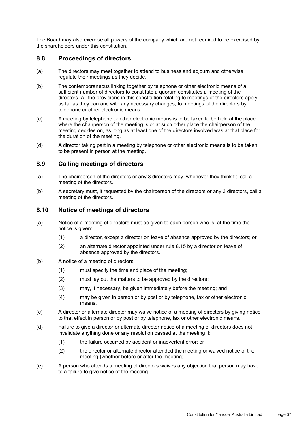The Board may also exercise all powers of the company which are not required to be exercised by the shareholders under this constitution.

#### **8.8 Proceedings of directors**

- (a) The directors may meet together to attend to business and adjourn and otherwise regulate their meetings as they decide.
- (b) The contemporaneous linking together by telephone or other electronic means of a sufficient number of directors to constitute a quorum constitutes a meeting of the directors. All the provisions in this constitution relating to meetings of the directors apply, as far as they can and with any necessary changes, to meetings of the directors by telephone or other electronic means.
- (c) A meeting by telephone or other electronic means is to be taken to be held at the place where the chairperson of the meeting is or at such other place the chairperson of the meeting decides on, as long as at least one of the directors involved was at that place for the duration of the meeting.
- (d) A director taking part in a meeting by telephone or other electronic means is to be taken to be present in person at the meeting.

#### **8.9 Calling meetings of directors**

- (a) The chairperson of the directors or any 3 directors may, whenever they think fit, call a meeting of the directors.
- (b) A secretary must, if requested by the chairperson of the directors or any 3 directors, call a meeting of the directors.

#### **8.10 Notice of meetings of directors**

- (a) Notice of a meeting of directors must be given to each person who is, at the time the notice is given:
	- (1) a director, except a director on leave of absence approved by the directors; or
	- (2) an alternate director appointed under rule [8.15](#page-42-0) by a director on leave of absence approved by the directors.
- (b) A notice of a meeting of directors:
	- (1) must specify the time and place of the meeting;
	- (2) must lay out the matters to be approved by the directors;
	- (3) may, if necessary, be given immediately before the meeting; and
	- (4) may be given in person or by post or by telephone, fax or other electronic means.
- (c) A director or alternate director may waive notice of a meeting of directors by giving notice to that effect in person or by post or by telephone, fax or other electronic means.
- (d) Failure to give a director or alternate director notice of a meeting of directors does not invalidate anything done or any resolution passed at the meeting if:
	- (1) the failure occurred by accident or inadvertent error; or
	- (2) the director or alternate director attended the meeting or waived notice of the meeting (whether before or after the meeting).
- (e) A person who attends a meeting of directors waives any objection that person may have to a failure to give notice of the meeting.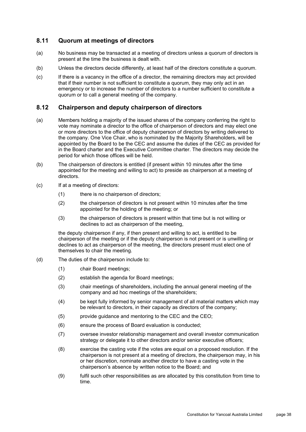# **8.11 Quorum at meetings of directors**

- (a) No business may be transacted at a meeting of directors unless a quorum of directors is present at the time the business is dealt with.
- (b) Unless the directors decide differently, at least half of the directors constitute a quorum.
- (c) If there is a vacancy in the office of a director, the remaining directors may act provided that if their number is not sufficient to constitute a quorum, they may only act in an emergency or to increase the number of directors to a number sufficient to constitute a quorum or to call a general meeting of the company.

#### **8.12 Chairperson and deputy chairperson of directors**

- (a) Members holding a majority of the issued shares of the company conferring the right to vote may nominate a director to the office of chairperson of directors and may elect one or more directors to the office of deputy chairperson of directors by writing delivered to the company. One Vice Chair, who is nominated by the Majority Shareholders, will be appointed by the Board to be the CEC and assume the duties of the CEC as provided for in the Board charter and the Executive Committee charter. The directors may decide the period for which those offices will be held.
- (b) The chairperson of directors is entitled (if present within 10 minutes after the time appointed for the meeting and willing to act) to preside as chairperson at a meeting of directors.
- (c) If at a meeting of directors:
	- (1) there is no chairperson of directors;
	- (2) the chairperson of directors is not present within 10 minutes after the time appointed for the holding of the meeting; or
	- (3) the chairperson of directors is present within that time but is not willing or declines to act as chairperson of the meeting,

the deputy chairperson if any, if then present and willing to act, is entitled to be chairperson of the meeting or if the deputy chairperson is not present or is unwilling or declines to act as chairperson of the meeting, the directors present must elect one of themselves to chair the meeting.

- (d) The duties of the chairperson include to:
	- (1) chair Board meetings;
	- (2) establish the agenda for Board meetings;
	- (3) chair meetings of shareholders, including the annual general meeting of the company and ad hoc meetings of the shareholders;
	- (4) be kept fully informed by senior management of all material matters which may be relevant to directors, in their capacity as directors of the company;
	- (5) provide guidance and mentoring to the CEC and the CEO;
	- (6) ensure the process of Board evaluation is conducted;
	- (7) oversee investor relationship management and overall investor communication strategy or delegate it to other directors and/or senior executive officers;
	- (8) exercise the casting vote if the votes are equal on a proposed resolution. If the chairperson is not present at a meeting of directors, the chairperson may, in his or her discretion, nominate another director to have a casting vote in the chairperson's absence by written notice to the Board; and
	- (9) fulfil such other responsibilities as are allocated by this constitution from time to time.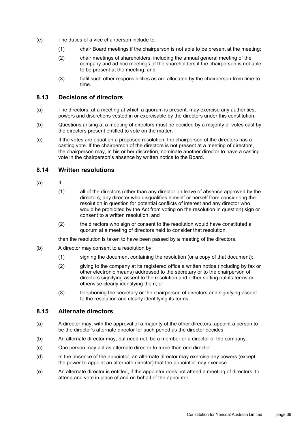- (e) The duties of a vice chairperson include to:
	- (1) chair Board meetings if the chairperson is not able to be present at the meeting;
	- (2) chair meetings of shareholders, including the annual general meeting of the company and ad hoc meetings of the shareholders if the chairperson is not able to be present at the meeting; and
	- (3) fulfil such other responsibilities as are allocated by the chairperson from time to time.

#### **8.13 Decisions of directors**

- (a) The directors, at a meeting at which a quorum is present, may exercise any authorities, powers and discretions vested in or exercisable by the directors under this constitution.
- (b) Questions arising at a meeting of directors must be decided by a majority of votes cast by the directors present entitled to vote on the matter.
- (c) If the votes are equal on a proposed resolution, the chairperson of the directors has a casting vote. If the chairperson of the directors is not present at a meeting of directors, the chairperson may, in his or her discretion, nominate another director to have a casting vote in the chairperson's absence by written notice to the Board.

#### **8.14 Written resolutions**

- (a) If:
	- (1) all of the directors (other than any director on leave of absence approved by the directors, any director who disqualifies himself or herself from considering the resolution in question for potential conflicts of interest and any director who would be prohibited by the Act from voting on the resolution in question) sign or consent to a written resolution; and
	- (2) the directors who sign or consent to the resolution would have constituted a quorum at a meeting of directors held to consider that resolution,

then the resolution is taken to have been passed by a meeting of the directors.

- (b) A director may consent to a resolution by:
	- (1) signing the document containing the resolution (or a copy of that document);
	- (2) giving to the company at its registered office a written notice (including by fax or other electronic means) addressed to the secretary or to the chairperson of directors signifying assent to the resolution and either setting out its terms or otherwise clearly identifying them; or
	- (3) telephoning the secretary or the chairperson of directors and signifying assent to the resolution and clearly identifying its terms.

#### <span id="page-42-0"></span>**8.15 Alternate directors**

- (a) A director may, with the approval of a majority of the other directors, appoint a person to be the director's alternate director for such period as the director decides.
- (b) An alternate director may, but need not, be a member or a director of the company.
- (c) One person may act as alternate director to more than one director.
- (d) In the absence of the appointor, an alternate director may exercise any powers (except the power to appoint an alternate director) that the appointor may exercise.
- (e) An alternate director is entitled, if the appointor does not attend a meeting of directors, to attend and vote in place of and on behalf of the appointor.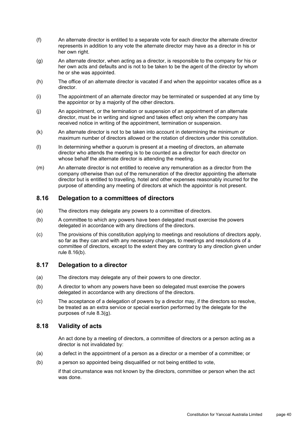- (f) An alternate director is entitled to a separate vote for each director the alternate director represents in addition to any vote the alternate director may have as a director in his or her own right.
- (g) An alternate director, when acting as a director, is responsible to the company for his or her own acts and defaults and is not to be taken to be the agent of the director by whom he or she was appointed.
- (h) The office of an alternate director is vacated if and when the appointor vacates office as a director.
- (i) The appointment of an alternate director may be terminated or suspended at any time by the appointor or by a majority of the other directors.
- (j) An appointment, or the termination or suspension of an appointment of an alternate director, must be in writing and signed and takes effect only when the company has received notice in writing of the appointment, termination or suspension.
- (k) An alternate director is not to be taken into account in determining the minimum or maximum number of directors allowed or the rotation of directors under this constitution.
- (l) In determining whether a quorum is present at a meeting of directors, an alternate director who attends the meeting is to be counted as a director for each director on whose behalf the alternate director is attending the meeting.
- (m) An alternate director is not entitled to receive any remuneration as a director from the company otherwise than out of the remuneration of the director appointing the alternate director but is entitled to travelling, hotel and other expenses reasonably incurred for the purpose of attending any meeting of directors at which the appointor is not present.

#### **8.16 Delegation to a committees of directors**

- (a) The directors may delegate any powers to a committee of directors.
- <span id="page-43-0"></span>(b) A committee to which any powers have been delegated must exercise the powers delegated in accordance with any directions of the directors.
- (c) The provisions of this constitution applying to meetings and resolutions of directors apply, so far as they can and with any necessary changes, to meetings and resolutions of a committee of directors, except to the extent they are contrary to any direction given under rule [8.16\(b\).](#page-43-0)

# **8.17 Delegation to a director**

- (a) The directors may delegate any of their powers to one director.
- (b) A director to whom any powers have been so delegated must exercise the powers delegated in accordance with any directions of the directors.
- (c) The acceptance of a delegation of powers by a director may, if the directors so resolve, be treated as an extra service or special exertion performed by the delegate for the purposes of rule [8.3\(g\).](#page-36-1)

#### **8.18 Validity of acts**

An act done by a meeting of directors, a committee of directors or a person acting as a director is not invalidated by:

- (a) a defect in the appointment of a person as a director or a member of a committee; or
- (b) a person so appointed being disqualified or not being entitled to vote,

if that circumstance was not known by the directors, committee or person when the act was done.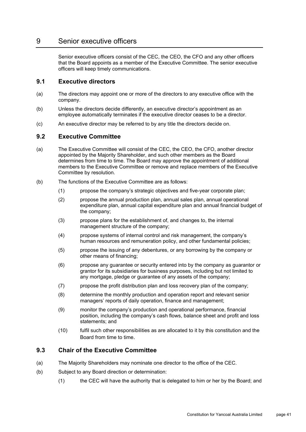# <span id="page-44-0"></span>9 Senior executive officers

Senior executive officers consist of the CEC, the CEO, the CFO and any other officers that the Board appoints as a member of the Executive Committee. The senior executive officers will keep timely communications.

#### **9.1 Executive directors**

- (a) The directors may appoint one or more of the directors to any executive office with the company.
- (b) Unless the directors decide differently, an executive director's appointment as an employee automatically terminates if the executive director ceases to be a director.
- (c) An executive director may be referred to by any title the directors decide on.

#### **9.2 Executive Committee**

- (a) The Executive Committee will consist of the CEC, the CEO, the CFO, another director appointed by the Majority Shareholder, and such other members as the Board determines from time to time. The Board may approve the appointment of additional members to the Executive Committee or remove and replace members of the Executive Committee by resolution.
- (b) The functions of the Executive Committee are as follows:
	- (1) propose the company's strategic objectives and five-year corporate plan;
	- (2) propose the annual production plan, annual sales plan, annual operational expenditure plan, annual capital expenditure plan and annual financial budget of the company;
	- (3) propose plans for the establishment of, and changes to, the internal management structure of the company;
	- (4) propose systems of internal control and risk management, the company's human resources and remuneration policy, and other fundamental policies;
	- (5) propose the issuing of any debentures, or any borrowing by the company or other means of financing;
	- (6) propose any guarantee or security entered into by the company as guarantor or grantor for its subsidiaries for business purposes, including but not limited to any mortgage, pledge or guarantee of any assets of the company;
	- (7) propose the profit distribution plan and loss recovery plan of the company;
	- (8) determine the monthly production and operation report and relevant senior managers' reports of daily operation, finance and management;
	- (9) monitor the company's production and operational performance, financial position, including the company's cash flows, balance sheet and profit and loss statements; and
	- (10) fulfil such other responsibilities as are allocated to it by this constitution and the Board from time to time.

#### **9.3 Chair of the Executive Committee**

- (a) The Majority Shareholders may nominate one director to the office of the CEC.
- (b) Subject to any Board direction or determination:
	- (1) the CEC will have the authority that is delegated to him or her by the Board; and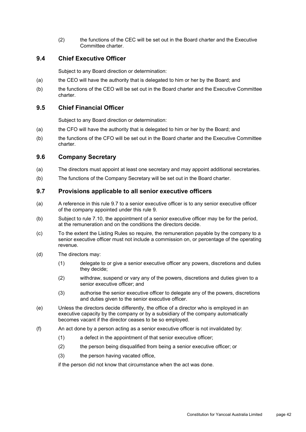(2) the functions of the CEC will be set out in the Board charter and the Executive Committee charter.

# **9.4 Chief Executive Officer**

Subject to any Board direction or determination:

- (a) the CEO will have the authority that is delegated to him or her by the Board; and
- (b) the functions of the CEO will be set out in the Board charter and the Executive Committee charter.

#### **9.5 Chief Financial Officer**

Subject to any Board direction or determination:

- (a) the CFO will have the authority that is delegated to him or her by the Board; and
- (b) the functions of the CFO will be set out in the Board charter and the Executive Committee charter.

## **9.6 Company Secretary**

- (a) The directors must appoint at least one secretary and may appoint additional secretaries.
- (b) The functions of the Company Secretary will be set out in the Board charter.

#### <span id="page-45-0"></span>**9.7 Provisions applicable to all senior executive officers**

- <span id="page-45-1"></span>(a) A reference in this rule [9.7](#page-45-0) to a senior executive officer is to any senior executive officer of the company appointed under this rule [9.](#page-44-0)
- (b) Subject to rule [7.10,](#page-32-0) the appointment of a senior executive officer may be for the period, at the remuneration and on the conditions the directors decide.
- (c) To the extent the Listing Rules so require, the remuneration payable by the company to a senior executive officer must not include a commission on, or percentage of the operating revenue.
- (d) The directors may:
	- (1) delegate to or give a senior executive officer any powers, discretions and duties they decide;
	- (2) withdraw, suspend or vary any of the powers, discretions and duties given to a senior executive officer; and
	- (3) authorise the senior executive officer to delegate any of the powers, discretions and duties given to the senior executive officer.
- (e) Unless the directors decide differently, the office of a director who is employed in an executive capacity by the company or by a subsidiary of the company automatically becomes vacant if the director ceases to be so employed.
- (f) An act done by a person acting as a senior executive officer is not invalidated by:
	- (1) a defect in the appointment of that senior executive officer;
	- (2) the person being disqualified from being a senior executive officer; or
	- (3) the person having vacated office,

if the person did not know that circumstance when the act was done.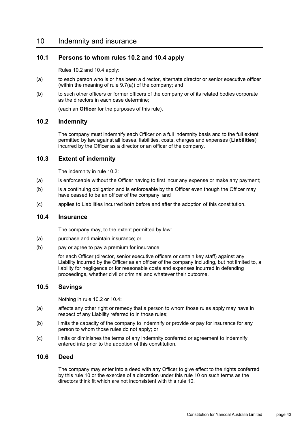# <span id="page-46-2"></span>10 Indemnity and insurance

#### **10.1 Persons to whom rules [10.2](#page-46-1) and [10.4](#page-46-0) apply**

Rules [10.2](#page-46-1) and [10.4](#page-46-0) apply:

- (a) to each person who is or has been a director, alternate director or senior executive officer (within the meaning of rule [9.7\(a\)\)](#page-45-1) of the company; and
- (b) to such other officers or former officers of the company or of its related bodies corporate as the directors in each case determine;

(each an **Officer** for the purposes of this rule).

#### <span id="page-46-1"></span>**10.2 Indemnity**

The company must indemnify each Officer on a full indemnity basis and to the full extent permitted by law against all losses, liabilities, costs, charges and expenses (**Liabilities**) incurred by the Officer as a director or an officer of the company.

#### **10.3 Extent of indemnity**

The indemnity in rule [10.2:](#page-46-1)

- (a) is enforceable without the Officer having to first incur any expense or make any payment;
- (b) is a continuing obligation and is enforceable by the Officer even though the Officer may have ceased to be an officer of the company; and
- (c) applies to Liabilities incurred both before and after the adoption of this constitution.

#### <span id="page-46-0"></span>**10.4 Insurance**

The company may, to the extent permitted by law:

- (a) purchase and maintain insurance; or
- (b) pay or agree to pay a premium for insurance,

for each Officer (director, senior executive officers or certain key staff) against any Liability incurred by the Officer as an officer of the company including, but not limited to, a liability for negligence or for reasonable costs and expenses incurred in defending proceedings, whether civil or criminal and whatever their outcome.

#### **10.5 Savings**

Nothing in rule [10.2](#page-46-1) or [10.4:](#page-46-0)

- (a) affects any other right or remedy that a person to whom those rules apply may have in respect of any Liability referred to in those rules;
- (b) limits the capacity of the company to indemnify or provide or pay for insurance for any person to whom those rules do not apply; or
- (c) limits or diminishes the terms of any indemnity conferred or agreement to indemnify entered into prior to the adoption of this constitution.

## **10.6 Deed**

The company may enter into a deed with any Officer to give effect to the rights conferred by this rule [10](#page-46-2) or the exercise of a discretion under this rule [10](#page-46-2) on such terms as the directors think fit which are not inconsistent with this rule [10.](#page-46-2)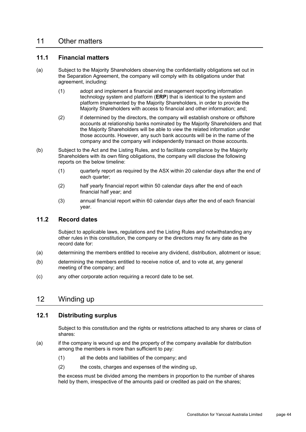# 11 Other matters

#### **11.1 Financial matters**

- (a) Subject to the Majority Shareholders observing the confidentiality obligations set out in the Separation Agreement, the company will comply with its obligations under that agreement, including:
	- (1) adopt and implement a financial and management reporting information technology system and platform (**ERP**) that is identical to the system and platform implemented by the Majority Shareholders, in order to provide the Majority Shareholders with access to financial and other information; and;
	- (2) if determined by the directors, the company will establish onshore or offshore accounts at relationship banks nominated by the Majority Shareholders and that the Majority Shareholders will be able to view the related information under those accounts. However, any such bank accounts will be in the name of the company and the company will independently transact on those accounts.
- (b) Subject to the Act and the Listing Rules, and to facilitate compliance by the Majority Shareholders with its own filing obligations, the company will disclose the following reports on the below timeline:
	- (1) quarterly report as required by the ASX within 20 calendar days after the end of each quarter;
	- (2) half yearly financial report within 50 calendar days after the end of each financial half year; and
	- (3) annual financial report within 60 calendar days after the end of each financial year.

### **11.2 Record dates**

Subject to applicable laws, regulations and the Listing Rules and notwithstanding any other rules in this constitution, the company or the directors may fix any date as the record date for:

- (a) determining the members entitled to receive any dividend, distribution, allotment or issue;
- (b) determining the members entitled to receive notice of, and to vote at, any general meeting of the company; and
- (c) any other corporate action requiring a record date to be set.

# 12 Winding up

#### **12.1 Distributing surplus**

Subject to this constitution and the rights or restrictions attached to any shares or class of shares:

- <span id="page-47-0"></span>(a) if the company is wound up and the property of the company available for distribution among the members is more than sufficient to pay:
	- (1) all the debts and liabilities of the company; and
	- (2) the costs, charges and expenses of the winding up,

the excess must be divided among the members in proportion to the number of shares held by them, irrespective of the amounts paid or credited as paid on the shares;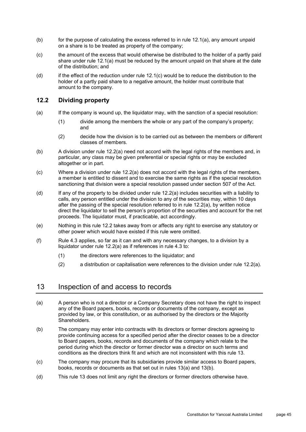- (b) for the purpose of calculating the excess referred to in rule [12.1\(a\),](#page-47-0) any amount unpaid on a share is to be treated as property of the company;
- <span id="page-48-0"></span>(c) the amount of the excess that would otherwise be distributed to the holder of a partly paid share under rule [12.1\(a\)](#page-47-0) must be reduced by the amount unpaid on that share at the date of the distribution; and
- (d) if the effect of the reduction under rule [12.1\(c\)](#page-48-0) would be to reduce the distribution to the holder of a partly paid share to a negative amount, the holder must contribute that amount to the company.

## <span id="page-48-2"></span>**12.2 Dividing property**

- <span id="page-48-1"></span>(a) If the company is wound up, the liquidator may, with the sanction of a special resolution:
	- (1) divide among the members the whole or any part of the company's property; and
	- (2) decide how the division is to be carried out as between the members or different classes of members.
- (b) A division under rule [12.2\(a\)](#page-48-1) need not accord with the legal rights of the members and, in particular, any class may be given preferential or special rights or may be excluded altogether or in part.
- (c) Where a division under rule [12.2\(a\)](#page-48-1) does not accord with the legal rights of the members, a member is entitled to dissent and to exercise the same rights as if the special resolution sanctioning that division were a special resolution passed under section 507 of the Act.
- (d) If any of the property to be divided under rule [12.2\(a\)](#page-48-1) includes securities with a liability to calls, any person entitled under the division to any of the securities may, within 10 days after the passing of the special resolution referred to in rule [12.2\(a\),](#page-48-1) by written notice direct the liquidator to sell the person's proportion of the securities and account for the net proceeds. The liquidator must, if practicable, act accordingly.
- (e) Nothing in this rule [12.2](#page-48-2) takes away from or affects any right to exercise any statutory or other power which would have existed if this rule were omitted.
- (f) Rule [4.3](#page-18-4) applies, so far as it can and with any necessary changes, to a division by a liquidator under rule [12.2\(a\)](#page-48-1) as if references in rule [4.3](#page-18-4) to:
	- (1) the directors were references to the liquidator; and
	- (2) a distribution or capitalisation were references to the division under rule [12.2\(a\).](#page-48-1)

# <span id="page-48-3"></span>13 Inspection of and access to records

- <span id="page-48-4"></span>(a) A person who is not a director or a Company Secretary does not have the right to inspect any of the Board papers, books, records or documents of the company, except as provided by law, or this constitution, or as authorised by the directors or the Majority Shareholders.
- <span id="page-48-5"></span>(b) The company may enter into contracts with its directors or former directors agreeing to provide continuing access for a specified period after the director ceases to be a director to Board papers, books, records and documents of the company which relate to the period during which the director or former director was a director on such terms and conditions as the directors think fit and which are not inconsistent with this rule [13.](#page-48-3)
- (c) The company may procure that its subsidiaries provide similar access to Board papers, books, records or documents as that set out in rules [13\(a\)](#page-48-4) and [13\(b\).](#page-48-5)
- (d) This rule [13](#page-48-3) does not limit any right the directors or former directors otherwise have.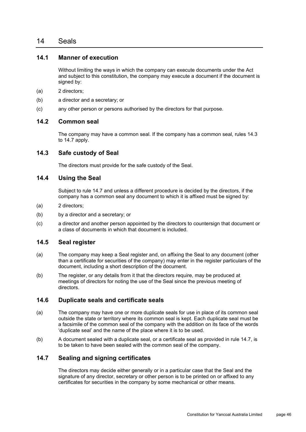# 14 Seals

#### **14.1 Manner of execution**

Without limiting the ways in which the company can execute documents under the Act and subject to this constitution, the company may execute a document if the document is signed by:

- (a) 2 directors;
- (b) a director and a secretary; or
- (c) any other person or persons authorised by the directors for that purpose.

#### **14.2 Common seal**

The company may have a common seal. If the company has a common seal, rules [14.3](#page-49-0) to [14.7](#page-49-1) apply.

#### <span id="page-49-0"></span>**14.3 Safe custody of Seal**

The directors must provide for the safe custody of the Seal.

#### **14.4 Using the Seal**

Subject to rule [14.7](#page-49-1) and unless a different procedure is decided by the directors, if the company has a common seal any document to which it is affixed must be signed by:

- (a) 2 directors;
- (b) by a director and a secretary; or
- (c) a director and another person appointed by the directors to countersign that document or a class of documents in which that document is included.

#### **14.5 Seal register**

- (a) The company may keep a Seal register and, on affixing the Seal to any document (other than a certificate for securities of the company) may enter in the register particulars of the document, including a short description of the document.
- (b) The register, or any details from it that the directors require, may be produced at meetings of directors for noting the use of the Seal since the previous meeting of directors.

### **14.6 Duplicate seals and certificate seals**

- (a) The company may have one or more duplicate seals for use in place of its common seal outside the state or territory where its common seal is kept. Each duplicate seal must be a facsimile of the common seal of the company with the addition on its face of the words 'duplicate seal' and the name of the place where it is to be used.
- (b) A document sealed with a duplicate seal, or a certificate seal as provided in rule [14.7,](#page-49-1) is to be taken to have been sealed with the common seal of the company.

### <span id="page-49-1"></span>**14.7 Sealing and signing certificates**

The directors may decide either generally or in a particular case that the Seal and the signature of any director, secretary or other person is to be printed on or affixed to any certificates for securities in the company by some mechanical or other means.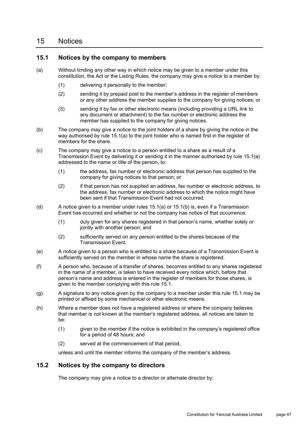# 15 Notices

#### <span id="page-50-2"></span>**15.1 Notices by the company to members**

- <span id="page-50-0"></span>(a) Without limiting any other way in which notice may be given to a member under this constitution, the Act or the Listing Rules, the company may give a notice to a member by:
	- (1) delivering it personally to the member;
	- (2) sending it by prepaid post to the member's address in the register of members or any other address the member supplies to the company for giving notices; or
	- (3) sending it by fax or other electronic means (including providing a URL link to any document or attachment) to the fax number or electronic address the member has supplied to the company for giving notices.
- <span id="page-50-1"></span>(b) The company may give a notice to the joint holders of a share by giving the notice in the way authorised by rule [15.1\(a\)](#page-50-0) to the joint holder who is named first in the register of members for the share.
- (c) The company may give a notice to a person entitled to a share as a result of a Transmission Event by delivering it or sending it in the manner authorised by rule [15.1\(a\)](#page-50-0) addressed to the name or title of the person, to:
	- (1) the address, fax number or electronic address that person has supplied to the company for giving notices to that person; or
	- (2) if that person has not supplied an address, fax number or electronic address, to the address, fax number or electronic address to which the notice might have been sent if that Transmission Event had not occurred.
- (d) A notice given to a member under rules [15.1\(a\)](#page-50-0) or [15.1\(b\)](#page-50-1) is, even if a Transmission Event has occurred and whether or not the company has notice of that occurrence:
	- (1) duly given for any shares registered in that person's name, whether solely or jointly with another person; and
	- (2) sufficiently served on any person entitled to the shares because of the Transmission Event.
- (e) A notice given to a person who is entitled to a share because of a Transmission Event is sufficiently served on the member in whose name the share is registered.
- (f) A person who, because of a transfer of shares, becomes entitled to any shares registered in the name of a member, is taken to have received every notice which, before that person's name and address is entered in the register of members for those shares, is given to the member complying with this rule [15.1.](#page-50-2)
- (g) A signature to any notice given by the company to a member under this rule [15.1](#page-50-2) may be printed or affixed by some mechanical or other electronic means.
- (h) Where a member does not have a registered address or where the company believes that member is not known at the member's registered address, all notices are taken to be:
	- (1) given to the member if the notice is exhibited in the company's registered office for a period of 48 hours; and
	- (2) served at the commencement of that period,

unless and until the member informs the company of the member's address.

#### **15.2 Notices by the company to directors**

The company may give a notice to a director or alternate director by: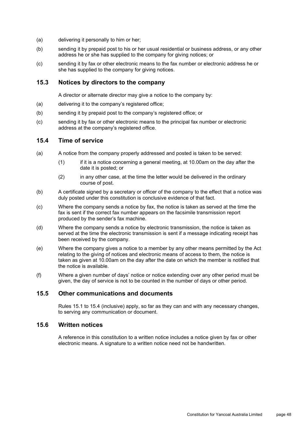- (a) delivering it personally to him or her;
- (b) sending it by prepaid post to his or her usual residential or business address, or any other address he or she has supplied to the company for giving notices; or
- (c) sending it by fax or other electronic means to the fax number or electronic address he or she has supplied to the company for giving notices.

#### **15.3 Notices by directors to the company**

A director or alternate director may give a notice to the company by:

- (a) delivering it to the company's registered office;
- (b) sending it by prepaid post to the company's registered office; or
- (c) sending it by fax or other electronic means to the principal fax number or electronic address at the company's registered office.

#### <span id="page-51-0"></span>**15.4 Time of service**

- (a) A notice from the company properly addressed and posted is taken to be served:
	- (1) if it is a notice concerning a general meeting, at 10.00am on the day after the date it is posted; or
	- (2) in any other case, at the time the letter would be delivered in the ordinary course of post.
- (b) A certificate signed by a secretary or officer of the company to the effect that a notice was duly posted under this constitution is conclusive evidence of that fact.
- (c) Where the company sends a notice by fax, the notice is taken as served at the time the fax is sent if the correct fax number appears on the facsimile transmission report produced by the sender's fax machine.
- (d) Where the company sends a notice by electronic transmission, the notice is taken as served at the time the electronic transmission is sent if a message indicating receipt has been received by the company.
- (e) Where the company gives a notice to a member by any other means permitted by the Act relating to the giving of notices and electronic means of access to them, the notice is taken as given at 10.00am on the day after the date on which the member is notified that the notice is available.
- (f) Where a given number of days' notice or notice extending over any other period must be given, the day of service is not to be counted in the number of days or other period.

#### **15.5 Other communications and documents**

Rules [15.1](#page-50-2) to [15.4](#page-51-0) (inclusive) apply, so far as they can and with any necessary changes, to serving any communication or document.

#### **15.6 Written notices**

A reference in this constitution to a written notice includes a notice given by fax or other electronic means. A signature to a written notice need not be handwritten.